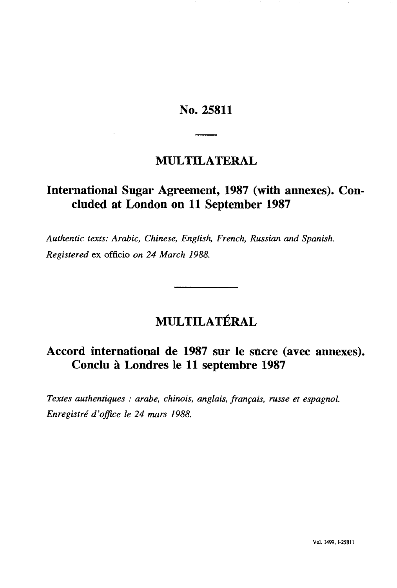### **No. 25811**

### **MULTILATERAL**

## International Sugar Agreement, 1987 (with annexes). Con**cluded at London on 11 September 1987**

*Authentic texts: Arabic, Chinese, English, French, Russian and Spanish. Registered* ex officio *on 24 March 1988.*

# **MULTILATÉRAL**

### **Accord international de 1987 sur le sucre (avec annexes). Conclu à Londres le 11 septembre 1987**

*Textes authentiques : arabe, chinois, anglais, français, russe et espagnol. Enregistré d'office le 24 mars 1988.*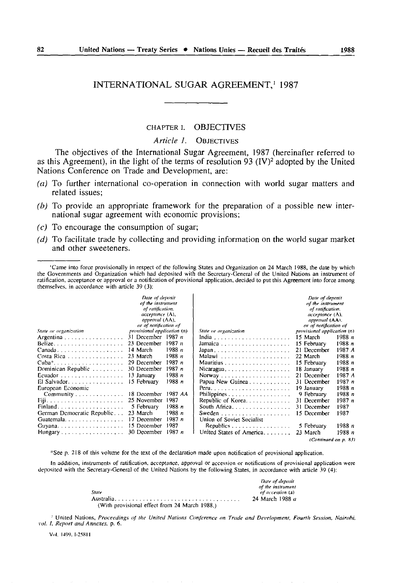#### INTERNATIONAL SUGAR AGREEMENT,<sup>1</sup> 1987

### CHAPTER I. OBJECTIVES

*Article 1.* OBJECTIVES

The objectives of the International Sugar Agreement, 1987 (hereinafter referred to as this Agreement), in the light of the terms of resolution 93  $(IV)^2$  adopted by the United Nations Conference on Trade and Development, are:

- *(a)* To further international co-operation in connection with world sugar matters and related issues;
- *(b)* To provide an appropriate framework for the preparation of a possible new inter national sugar agreement with economic provisions;
- *(c)* To encourage the consumption of sugar;
- *(d)* To facilitate trade by collecting and providing information on the world sugar market and other sweeteners.

<sup>&#</sup>x27;Came into force provisionally in respect of the following States and Organization on 24 March 1988, the date by which the Governments and Organization which had deposited with the Secretary-General of the United Nations an instrument of ratification, acceptance or approval or a notification of provisional application, decided to put this Agreement into force among themselves, in accordance with article 39 (3):

|                                                          | Date of deposit<br>of the instrument<br>of ratification.<br>acceptance (A),<br>approval (AA), |         |                           |                                                      | Date of deposit<br>of the instrument<br>of ratification.<br>acceptance (A),<br>approval (AA), |        |
|----------------------------------------------------------|-----------------------------------------------------------------------------------------------|---------|---------------------------|------------------------------------------------------|-----------------------------------------------------------------------------------------------|--------|
| State or organization.                                   | or of notification of<br><i>provisional application</i> (n)                                   |         |                           | or of notification of<br>provisional application (n) |                                                                                               |        |
|                                                          | 31 December 1987 $n$                                                                          |         | State or organization     |                                                      | 15 March                                                                                      | 1988 n |
| Argentina                                                | 23 December                                                                                   | 1987n   |                           |                                                      | 15 February                                                                                   | 1988 n |
| Belize                                                   | 14 March                                                                                      | 1988 n  |                           |                                                      | 21 December                                                                                   | 1987 A |
| $Canada.$                                                | 23 March                                                                                      | 1988 n  |                           |                                                      | 22 March                                                                                      | 1988 n |
| Costa Rica                                               | 29 December                                                                                   | 1987 n  | Malawi                    |                                                      |                                                                                               | 1988 n |
| $Cuba^*, \ldots, \ldots, \ldots, \ldots, \ldots, \ldots$ | 30 December                                                                                   | 1987 n  |                           |                                                      | 15 February                                                                                   | 1988 n |
| Dominican Republic $\ldots$ ,                            |                                                                                               |         |                           |                                                      | 18 January                                                                                    |        |
|                                                          | 13 January                                                                                    | 1988 n  |                           |                                                      | 21 December                                                                                   | 1987 A |
| El Salvador.                                             | 15 February                                                                                   | 1988 n  | Papua New Guinea          |                                                      | 31 December                                                                                   | 1987n  |
| European Economic                                        |                                                                                               |         |                           |                                                      | 19 January                                                                                    | 1988 n |
| Community, $\ldots$ , $\ldots$ ,                         | 18 December                                                                                   | 1987 AA |                           |                                                      | 9 February                                                                                    | 1988 n |
|                                                          | 25 November                                                                                   | 1987    | Republic of Korea.        |                                                      | 31 December                                                                                   | 1987n  |
| Finland                                                  | 5 February                                                                                    | 1988 n  | South Africa              |                                                      | 31 December                                                                                   | 1987   |
| German Democratic Republic                               | 23 March                                                                                      | 1988 n  |                           |                                                      | 15 December                                                                                   | 1987   |
| Guatemala. $\ldots$ , $\ldots$ , $\ldots$ , $\ldots$     | 17 December                                                                                   | 1987 n  | Union of Soviet Socialist |                                                      |                                                                                               |        |
|                                                          | 15 December                                                                                   | 1987    | Republics                 |                                                      | 5 February                                                                                    | 1988 n |
|                                                          | 30 December                                                                                   | 1987n   | United States of America. |                                                      | 23 March                                                                                      | 1988 n |
| (Continued on n. 83)                                     |                                                                                               |         |                           |                                                      |                                                                                               |        |

\*See p, 218 of this volume for the text of the declaration made upon notification of provisional application.

In addition, instruments of ratification, acceptance, approval or accession or notifications of provisional application were deposited with the Secretary -General of the United Nations by the following States, in accordance with article 39 (4):

|                                               | Date of deposit   |
|-----------------------------------------------|-------------------|
|                                               | of the instrument |
| State                                         | of accession (a)  |
|                                               | 24 March 1988 a   |
| (With provisional effect from 24 March 1988.) |                   |

*<sup>2</sup>*United Nations, *Proceedings of the United Nations Conference on Trade and Development. Fourth Session. Nairohi. vol. f. Report and Annexes,* p. 6.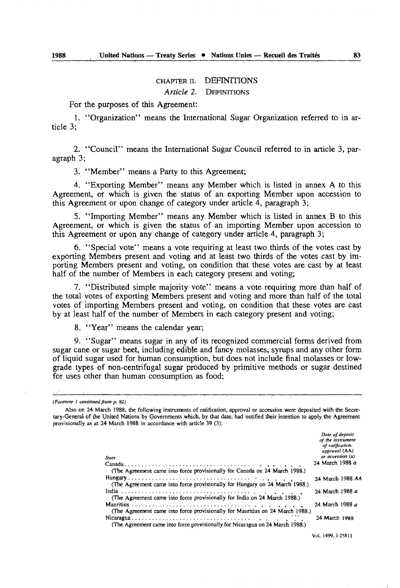### CHAPTER n. DEFINITIONS

*Article 2.* DEFINITIONS

For the purposes of this Agreement:

1. "Organization" means the International Sugar Organization referred to in ar ticle 3;

2. "Council" means the International Sugar Council referred to in article 3, par agraph 3;

3. "Member" means a Party to this Agreement;

4. "Exporting Member" means any Member which is listed in annex A to this Agreement, or which is given the status of an exporting Member upon accession to this Agreement or upon change of category under article 4, paragraph 3;

5. "Importing Member" means any Member which is listed in annex B to this Agreement, or which is given the status of an importing Member upon accession to this Agreement or upon any change of category under article 4, paragraph 3;

6. "Special vote" means a vote requiring at least two thirds of the votes cast by exporting Members present and voting and at least two thirds of the votes cast by im porting Members present and voting, on condition that these votes are cast by at least half of the number of Members in each category present and voting;

7. "Distributed simple majority vote" means a vote requiring more than half of the total votes of exporting Members present and voting and more than half of the total votes of importing Members present and voting, on condition that these votes are cast by at least half of the number of Members in each category present and voting;

8. "Year" means the calendar year;

9. "Sugar" means sugar in any of its recognized commercial forms derived from sugar cane or sugar beet, including edible and fancy molasses, syrups and any other form of liquid sugar used for human consumption, but does not include final molasses or lowgrade types of non-centrifugal sugar produced by primitive methods or sugar destined for uses other than human consumption as food;

Also on 24 March 1988, the following instruments of ratification, approval or accession were deposited with the Secre tary-General of the United Nations by Governments which, by that date, had notified their intention to apply the Agreement provisionally as at 24 March 1988 in accordance with article 39 (3):

| State<br>(The Agreement came into force provisionally for Canada on 24 March 1988.) | Date of deposit<br>of the instrument<br>of ratification.<br>approval (AA)<br>or accession (a)<br>24 March 1988 a |
|-------------------------------------------------------------------------------------|------------------------------------------------------------------------------------------------------------------|
|                                                                                     | 24 March 1988 AA                                                                                                 |
| (The Agreement came into force provisionally for Hungary on 24 March 1988.)         |                                                                                                                  |
|                                                                                     | 24 March 1988 a                                                                                                  |
| (The Agreement came into force provisionally for India on 24 March 1988.)           |                                                                                                                  |
|                                                                                     | 24 March 1988 a                                                                                                  |
| (The Agreement came into force provisionally for Mauritius on 24 March 1988.)       |                                                                                                                  |
|                                                                                     | 24 March 1988                                                                                                    |
| (The Agreement came into force provisionally for Nicaragua on 24 March 1988.)       |                                                                                                                  |
|                                                                                     | Vol. 1499, 1-25811                                                                                               |

*<sup>{</sup>Footnote I continued front p. 82)*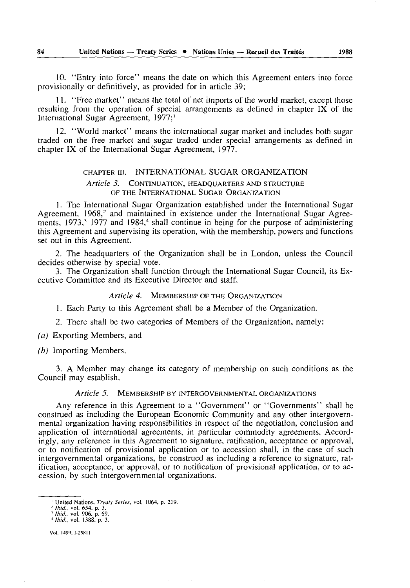10. "Entry into force" means the date on which this Agreement enters into force provisionally or definitively, as provided for in article 39;

11. "Free market" means the total of net imports of the world market, except those resulting from the operation of special arrangements as defined in chapter IX of the International Sugar Agreement, 1977;<sup>1</sup>

12. "World market" means the international sugar market and includes both sugar traded on the free market and sugar traded under special arrangements as defined in chapter IX of the International Sugar Agreement, 1977.

#### CHAPTER in. INTERNATIONAL SUGAR ORGANIZATION

#### *Article 3.* CONTINUATION, HEADQUARTERS AND STRUCTURE OF THE INTERNATIONAL SUGAR ORGANIZATION

1. The International Sugar Organization established under the International Sugar Agreement,  $1968$ <sup>2</sup> and maintained in existence under the International Sugar Agreements,  $1973$ ,<sup>3</sup> 1977 and  $1984$ ,<sup>4</sup> shall continue in being for the purpose of administering this Agreement and supervising its operation, with the membership, powers and functions set out in this Agreement.

2. The headquarters of the Organization shall be in London, unless the Council decides otherwise by special vote.

3. The Organization shall function through the International Sugar Council, its Ex ecutive Committee and its Executive Director and staff.

#### *Article 4.* MEMBERSHIP OF THE ORGANIZATION

1. Each Party to this Agreement shall be a Member of the Organization.

2. There shall be two categories of Members of the Organization, namely:

*(a)* Exporting Members, and

*(b)* Importing Members.

3. A Member may change its category of membership on such conditions as the Council may establish.

#### *Article 5.* MEMBERSHIP BY INTERGOVERNMENTAL ORGANIZATIONS

Any reference in this Agreement to a "Government" or "Governments" shall be construed as including the European Economic Community and any other intergovern mental organization having responsibilities in respect of the negotiation, conclusion and application of international agreements, in particular commodity agreements. Accord ingly, any reference in this Agreement to signature, ratification, acceptance or approval, or to notification of provisional application or to accession shall, in the case of such intergovernmental organizations, be construed as including a reference to signature, rat ification, acceptance, or approval, or to notification of provisional application, or to ac cession, by such intergovernmental organizations.

<sup>&</sup>lt;sup>1</sup> United Nations. *Treatv Series*, vol. 1064, p. 219.

<sup>&#</sup>x27; *Ibid.,* vol. 654, p. 3. <sup>1</sup>*Ibid.* vol. 906, p. 69. <sup>4</sup>*/hid,* vol. 1388, p. 3.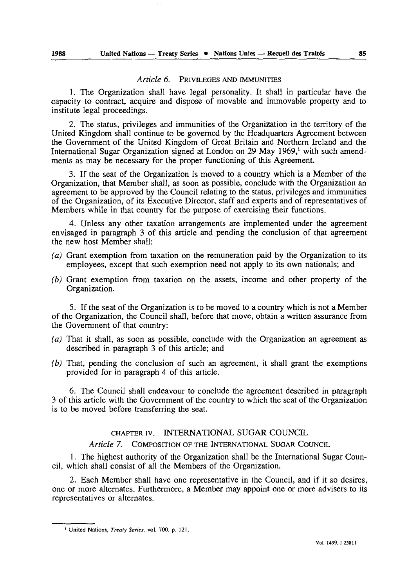#### *Article 6.* PRIVILEGES AND IMMUNITIES

1. The Organization shall have legal personality. It shall in particular have the capacity to contract, acquire and dispose of movable and immovable property and to institute legal proceedings.

2. The status, privileges and immunities of the Organization in the territory of the United Kingdom shall continue to be governed by the Headquarters Agreement between the Government of the United Kingdom of Great Britain and Northern Ireland and the International Sugar Organization signed at London on 29 May 1969,' with such amend ments as may be necessary for the proper functioning of this Agreement.

3. If the seat of the Organization is moved to a country which is a Member of the Organization, that Member shall, as soon as possible, conclude with the Organization an agreement to be approved by the Council relating to the status, privileges and immunities of the Organization, of its Executive Director, staff and experts and of representatives of Members while in that country for the purpose of exercising their functions.

4. Unless any other taxation arrangements are implemented under the agreement envisaged in paragraph 3 of this article and pending the conclusion of that agreement the new host Member shall:

- *(a)* Grant exemption from taxation on the remuneration paid by the Organization to its employees, except that such exemption need not apply to its own nationals; and
- *(b)* Grant exemption from taxation on the assets, income and other property of the Organization.

5. If the seat of the Organization is to be moved to a country which is not a Member of the Organization, the Council shall, before that move, obtain a written assurance from the Government of that country:

- *(a)* That it shall, as soon as possible, conclude with the Organization an agreement as described in paragraph 3 of this article; and
- *(b)* That, pending the conclusion of such an agreement, it shall grant the exemptions provided for in paragraph 4 of this article.

6. The Council shall endeavour to conclude the agreement described in paragraph 3 of this article with the Government of the country to which the seat of the Organization is to be moved before transferring the seat.

CHAPTER iv. INTERNATIONAL SUGAR COUNCIL

*Article 7.* COMPOSITION OF THE INTERNATIONAL SUGAR COUNCIL

1. The highest authority of the Organization shall be the International Sugar Coun cil, which shall consist of all the Members of the Organization.

2. Each Member shall have one representative in the Council, and if it so desires, one or more alternates. Furthermore, a Member may appoint one or more advisers to its representatives or alternates.

<sup>1</sup> United Nations, *Treaty Series,* vol. 700, p. 121.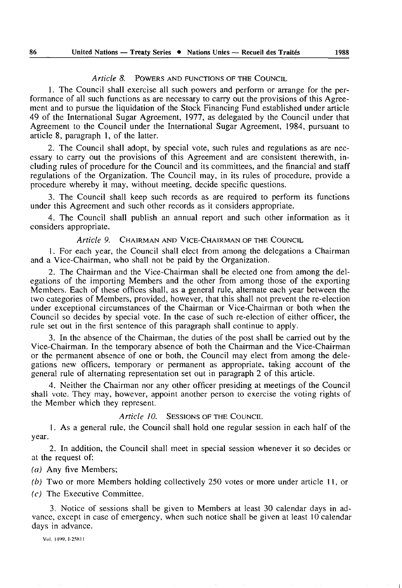#### *Article 8.* POWERS AND FUNCTIONS OF THE COUNCIL

1. The Council shall exercise all such powers and perform or arrange for the per formance of all such functions as are necessary to carry out the provisions of this Agree ment and to pursue the liquidation of the Stock Financing Fund established under article 49 of the International Sugar Agreement, 1977, as delegated by the Council under that Agreement to the Council under the International Sugar Agreement, 1984, pursuant to article 8, paragraph 1, of the latter.

2. The Council shall adopt, by special vote, such rules and regulations as are nec essary to carry out the provisions of this Agreement and are consistent therewith, in cluding rules of procedure for the Council and its committees, and the financial and staff regulations of the Organization. The Council may, in its rules of procedure, provide a procedure whereby it may, without meeting, decide specific questions.

3. The Council shall keep such records as are required to perform its functions under this Agreement and such other records as it considers appropriate.

4. The Council shall publish an annual report and such other information as it considers appropriate.

*Article 9.* CHAIRMAN AND VICE-CHAIRMAN OF THE COUNCIL

1. For each year, the Council shall elect from among the delegations a Chairman and a Vice-Chairman, who shall not be paid by the Organization.

2. The Chairman and the Vice-Chairman shall be elected one from among the del egations of the importing Members and the other from among those of the exporting Members. Each of these offices shall, as a general rule, alternate each year between the two categories of Members, provided, however, that this shall not prevent the re-election under exceptional circumstances of the Chairman or Vice-Chairman or both when the Council so decides by special vote. In the case of such re-election of either officer, the rule set out in the first sentence of this paragraph shall continue to apply.

3. In the absence of the Chairman, the duties of the post shall be carried out by the Vice-Chairman. In the temporary absence of both the Chairman and the Vice-Chairman or the permanent absence of one or both, the Council may elect from among the dele gations new officers, temporary or permanent as appropriate, taking account of the general rule of alternating representation set out in paragraph 2 of this article.

4. Neither the Chairman nor any other officer presiding at meetings of the Council shall vote. They may, however, appoint another person to exercise the voting rights of the Member which they represent.

*Article 10.* SESSIONS OF THE COUNCIL

1. As a general rule, the Council shall hold one regular session in each half of the year.

2. In addition, the Council shall meet in special session whenever it so decides or at the request of:

*(a)* Any five Members;

*(b)* Two or more Members holding collectively 250 votes or more under article 11, or

*(c)* The Executive Committee.

3. Notice of sessions shall be given to Members at least 30 calendar days in ad vance, except in case of emergency, when such notice shall be given at least 10 calendar days in advance.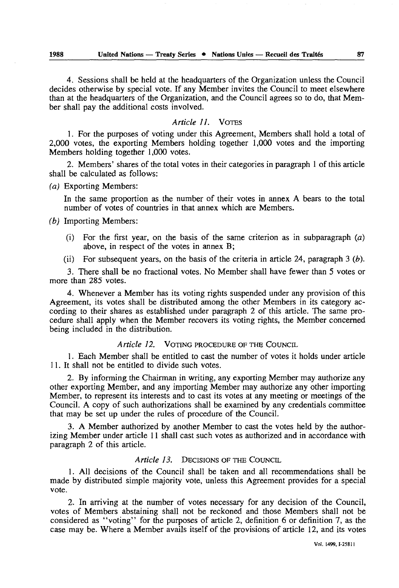4. Sessions shall be held at the headquarters of the Organization unless the Council decides otherwise by special vote. If any Member invites the Council to meet elsewhere than at the headquarters of the Organization, and the Council agrees so to do, that Mem ber shall pay the additional costs involved.

#### *Article 11.* VOTES

1. For the purposes of voting under this Agreement, Members shall hold a total of 2,000 votes, the exporting Members holding together 1,000 votes and the importing Members holding together 1,000 votes.

2. Members' shares of the total votes in their categories in paragraph 1 of this article shall be calculated as follows:

*(a)* Exporting Members:

In the same proportion as the number of their votes in annex A bears to the total number of votes of countries in that annex which are Members.

#### *(b)* Importing Members:

- (i) For the first year, on the basis of the same criterion as in subparagraph  $(a)$ above, in respect of the votes in annex B;
- (ii) For subsequent years, on the basis of the criteria in article 24, paragraph 3 *(b).*

*3.* There shall be no fractional votes. No Member shall have fewer than 5 votes or more than 285 votes.

4. Whenever a Member has its voting rights suspended under any provision of this Agreement, its votes shall be distributed among the other Members in its category ac cording to their shares as established under paragraph 2 of this article. The same pro cedure shall apply when the Member recovers its voting rights, the Member concerned being included in the distribution.

#### *Article 12.* VOTING PROCEDURE OF THE COUNCIL

1. Each Member shall be entitled to cast the number of votes it holds under article 11. It shall not be entitled to divide such votes.

2. By informing the Chairman in writing, any exporting Member may authorize any other exporting Member, and any importing Member may authorize any other importing Member, to represent its interests and to cast its votes at any meeting or meetings of the Council. A copy of such authorizations shall be examined by any credentials committee that may be set up under the rules of procedure of the Council.

3. A Member authorized by another Member to cast the votes held by the author izing Member under article 11 shall cast such votes as authorized and in accordance with paragraph 2 of this article.

#### *Article 13.* DECISIONS OF THE COUNCIL

1. All decisions of the Council shall be taken and all recommendations shall be made by distributed simple majority vote, unless this Agreement provides for a special vote.

2. In arriving at the number of votes necessary for any decision of the Council, votes of Members abstaining shall not be reckoned and those Members shall not be considered as "voting" for the purposes of article 2, definition 6 or definition 7, as the case may be. Where a Member avails itself of the provisions of article 12, and its votes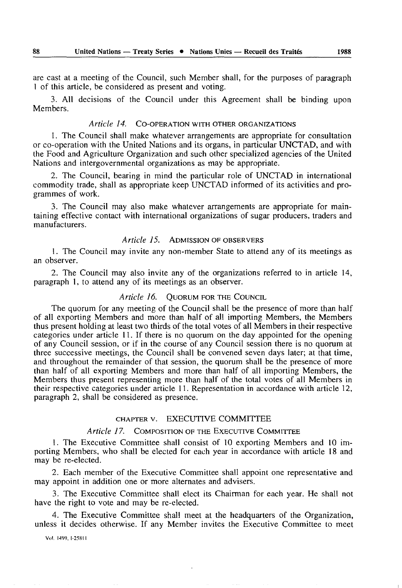are cast at a meeting of the Council, such Member shall, for the purposes of paragraph 1 of this article, be considered as present and voting.

3. All decisions of the Council under this Agreement shall be binding upon Members.

#### *Article 14.* CO-OPERATION WITH OTHER ORGANIZATIONS

1. The Council shall make whatever arrangements are appropriate for consultation or co-operation with the United Nations and its organs, in particular UNCTAD, and with the Food and Agriculture Organization and such other specialized agencies of the United Nations and intergovernmental organizations as may be appropriate.

2. The Council, bearing in mind the particular role of UNCTAD in international commodity trade, shall as appropriate keep UNCTAD informed of its activities and pro grammes of work.

3. The Council may also make whatever arrangements are appropriate for main taining effective contact with international organizations of sugar producers, traders and manufacturers.

### *Article 15.* ADMISSION OF OBSERVERS

1. The Council may invite any non-member State to attend any of its meetings as an observer.

2. The Council may also invite any of the organizations referred to in article 14, paragraph 1, to attend any of its meetings as an observer.

#### *Article 16.* QUORUM FOR THE COUNCIL

The quorum for any meeting of the Council shall be the presence of more than half of all exporting Members and more than half of all importing Members, the Members thus present holding at least two thirds of the total votes of all Members in their respective categories under article 11. If there is no quorum on the day appointed for the opening of any Council session, or if in the course of any Council session there is no quorum at three successive meetings, the Council shall be convened seven days later; at that time, and throughout the remainder of that session, the quorum shall be the presence of more than half of all exporting Members and more than half of all importing Members, the Members thus present representing more than half of the total votes of all Members in their respective categories under article 11. Representation in accordance with article 12, paragraph 2, shall be considered as presence.

#### CHAPTER v. EXECUTIVE COMMITTEE

#### *Article 17.* COMPOSITION OF THE EXECUTIVE COMMITTEE

1. The Executive Committee shall consist of 10 exporting Members and 10 im porting Members, who shall be elected for each year in accordance with article 18 and may be re-elected.

2. Each member of the Executive Committee shall appoint one representative and may appoint in addition one or more alternates and advisers.

3. The Executive Committee shall elect its Chairman for each year. He shall not have the right to vote and may be re-elected.

4. The Executive Committee shall meet at the headquarters of the Organization, unless it decides otherwise. If any Member invites the Executive Committee to meet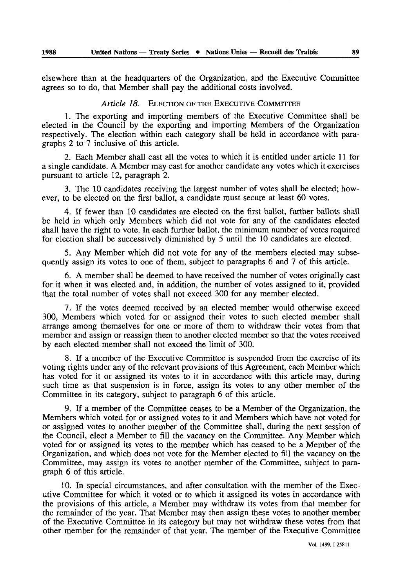elsewhere than at the headquarters of the Organization, and the Executive Committee agrees so to do, that Member shall pay the additional costs involved.

#### *Article 18.* ELECTION OF THE EXECUTIVE COMMITTEE

1. The exporting and importing members of the Executive Committee shall be elected in the Council by the exporting and importing Members of the Organization respectively. The election within each category shall be held in accordance with para graphs 2 to 7 inclusive of this article.

2. Each Member shall cast all the votes to which it is entitled under article 11 for a single candidate. A Member may cast for another candidate any votes which it exercises pursuant to article 12, paragraph 2.

3. The 10 candidates receiving the largest number of votes shall be elected; how ever, to be elected on the first ballot, a candidate must secure at least 60 votes.

4. If fewer than 10 candidates are elected on the first ballot, further ballots shall be held in which only Members which did not vote for any of the candidates elected shall have the right to vote. In each further ballot, the minimum number of votes required for election shall be successively diminished by 5 until the 10 candidates are elected.

5. Any Member which did not vote for any of the members elected may subse quently assign its votes to one of them, subject to paragraphs 6 and 7 of this article.

6. A member shall be deemed to have received the number of votes originally cast for it when it was elected and, in addition, the number of votes assigned to it, provided that the total number of votes shall not exceed 300 for any member elected.

7. If the votes deemed received by an elected member would otherwise exceed 300, Members which voted for or assigned their votes to such elected member shall arrange among themselves for one or more of them to withdraw their votes from that member and assign or reassign them to another elected member so that the votes received by each elected member shall not exceed the limit of 300.

8. If a member of the Executive Committee is suspended from the exercise of its voting rights under any of the relevant provisions of this Agreement, each Member which has voted for it or assigned its votes to it in accordance with this article may, during such time as that suspension is in force, assign its votes to any other member of the Committee in its category, subject to paragraph 6 of this article.

9. If a member of the Committee ceases to be a Member of the Organization, the Members which voted for or assigned votes to it and Members which have not voted for or assigned votes to another member of the Committee shall, during the next session of the Council, elect a Member to fill the vacancy on the Committee. Any Member which voted for or assigned its votes to the member which has ceased to be a Member of the Organization, and which does not vote for the Member elected to fill the vacancy on the Committee, may assign its votes to another member of the Committee, subject to para graph 6 of this article.

10. In special circumstances, and after consultation with the member of the Exec utive Committee for which it voted or to which it assigned its votes in accordance with the provisions of this article, a Member may withdraw its votes from that member for the remainder of the year. That Member may then assign these votes to another member of the Executive Committee in its category but may not withdraw these votes from that other member for the remainder of that year. The member of the Executive Committee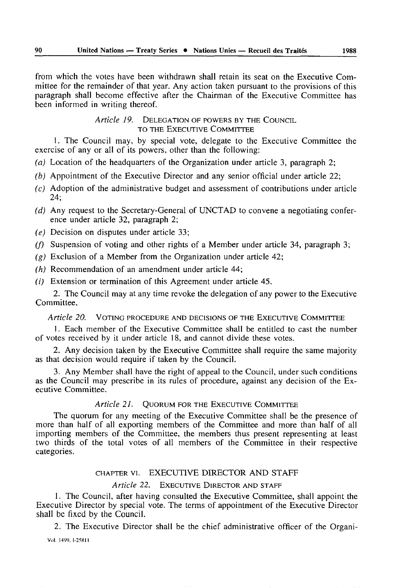from which the votes have been withdrawn shall retain its seat on the Executive Com mittee for the remainder of that year. Any action taken pursuant to the provisions of this paragraph shall become effective after the Chairman of the Executive Committee has been informed in writing thereof.

> *Article 19.* DELEGATION OF POWERS BY THE COUNCIL TO THE EXECUTIVE COMMITTEE

1. The Council may, by special vote, delegate to the Executive Committee the exercise of any or all of its powers, other than the following:

- *(a)* Location of the headquarters of the Organization under article 3, paragraph 2;
- *(b)* Appointment of the Executive Director and any senior official under article 22;
- *(c)* Adoption of the administrative budget and assessment of contributions under article 24;
- *(d)* Any request to the Secretary-General of UNCTAD to convene a negotiating confer ence under article 32, paragraph 2;
- *(e)* Decision on disputes under article 33;
- *(f)* Suspension of voting and other rights of a Member under article 34, paragraph 3;
- *(g)* Exclusion of a Member from the Organization under article 42;
- *(h)* Recommendation of an amendment under article 44;
- *(i)* Extension or termination of this Agreement under article 45.

2. The Council may at any time revoke the delegation of any power to the Executive Committee.

#### *Article 20.* VOTING PROCEDURE AND DECISIONS OF THE EXECUTIVE COMMITTEE

1. Each member of the Executive Committee shall be entitled to cast the number of votes received by it under article 18, and cannot divide these votes.

2. Any decision taken by the Executive Committee shall require the same majority as that decision would require if taken by the Council.

3. Any Member shall have the right of appeal to the Council, under such conditions as the Council may prescribe in its rules of procedure, against any decision of the Ex ecutive Committee.

#### *Article 21.* QUORUM FOR THE EXECUTIVE COMMITTEE

The quorum for any meeting of the Executive Committee shall be the presence of more than half of all exporting members of the Committee and more than half of all importing members of the Committee, the members thus present representing at least two thirds of the total votes of all members of the Committee in their respective categories.

#### CHAPTER vi. EXECUTIVE DIRECTOR AND STAFF

### *Article 22.* EXECUTIVE DIRECTOR AND STAFF

1. The Council, after having consulted the Executive Committee, shall appoint the Executive Director by special vote. The terms of appointment of the Executive Director shall be fixed by the Council.

2. The Executive Director shall be the chief administrative officer of the Organi-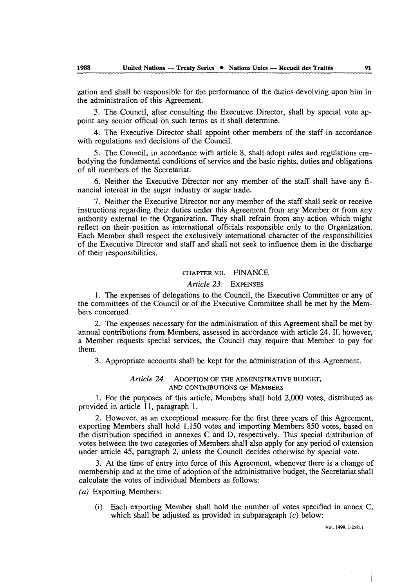zation and shall be responsible for the performance of the duties devolving upon him in the administration of this Agreement.

3. The Council, after consulting the Executive Director, shall by special vote ap point any senior official on such terms as it shall determine.

4. The Executive Director shall appoint other members of the staff in accordance with regulations and decisions of the Council.

5. The Council, in accordance with article 8, shall adopt rules and regulations em bodying the fundamental conditions of service and the basic rights, duties and obligations of all members of the Secretariat.

6. Neither the Executive Director nor any member of the staff shall have any fi nancial interest in the sugar industry or sugar trade.

7. Neither the Executive Director nor any member of the staff shall seek or receive instructions regarding their duties under this Agreement from any Member or from any authority external to the Organization. They shall refrain from any action which might reflect on their position as international officials responsible only to the Organization. Each Member shall respect the exclusively international character of the responsibilities of the Executive Director and staff and shall not seek to influence them in the discharge of their responsibilities.

#### CHAPTER *vu.* FINANCE

#### *Article 23.* EXPENSES

1. The expenses of delegations to the Council, the Executive Committee or any of the committees of the Council or of the Executive Committee shall be met by the Mem bers concerned.

2. The expenses necessary for the administration of this Agreement shall be met by annual contributions from Members, assessed in accordance with article 24. If, however, a Member requests special services, the Council may require that Member to pay for them.

3. Appropriate accounts shall be kept for the administration of this Agreement.

#### *Article 24.* ADOPTION OF THE ADMINISTRATIVE BUDGET, AND CONTRIBUTIONS OF MEMBERS

1. For the purposes of this article, Members shall hold 2,000 votes, distributed as provided in article 11, paragraph 1.

2. However, as an exceptional measure for the first three years of this Agreement, exporting Members shall hold 1,150 votes and importing Members 850 votes, based on the distribution specified in annexes C and D, respectively. This special distribution of votes between the two categories of Members shall also apply for any period of extension under article 45, paragraph 2, unless the Council decides otherwise by special vote.

3. At the time of entry into force of this Agreement, whenever there is a change of membership and at the time of adoption of the administrative budget, the Secretariat shall calculate the votes of individual Members as follows:

*(a)* Exporting Members:

(i) Each exporting Member shall hold the number of votes specified in annex C, which shall be adjusted as provided in subparagraph  $(c)$  below;

Vol. 1499. I-258I1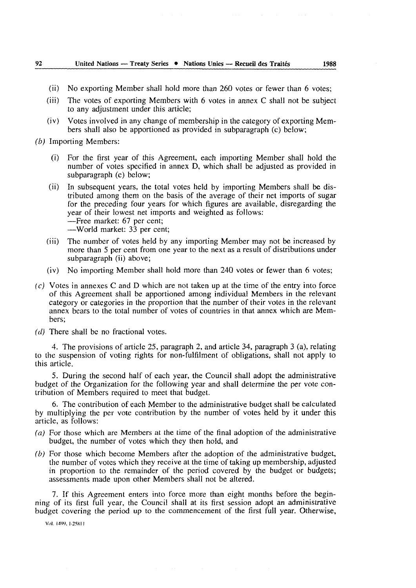#### **92\_\_\_\_\_\_United Nations — Treaty Series • Nations Unies — Recueil des Traités 1988**

- (ii) No exporting Member shall hold more than 260 votes or fewer than 6 votes;
- (iii) The votes of exporting Members with 6 votes in annex C shall not be subject to any adjustment under this article;
- (iv) Votes involved in any change of membership in the category of exporting Mem bers shall also be apportioned as provided in subparagraph (c) below;
- *(b)* Importing Members:
	- (i) For the first year of this Agreement, each importing Member shall hold the number of votes specified in annex D, which shall be adjusted as provided in subparagraph (c) below;
	- (ii) In subsequent years, the total votes held by importing Members shall be dis tributed among them on the basis of the average of their net imports of sugar for the preceding four years for which figures are available, disregarding the year of their lowest net imports and weighted as follows: -Free market: 67 per cent; World market: 33 per cent;
	- (iii) The number of votes held by any importing Member may not be increased by more than 5 per cent from one year to the next as a result of distributions under subparagraph (ii) above;
	- (iv) No importing Member shall hold more than 240 votes or fewer than 6 votes;
- *(c)* Votes in annexes C and D which are not taken up at the time of the entry into force of this Agreement shall be apportioned among individual Members in the relevant category or categories in the proportion that the number of their votes in the relevant annex bears to the total number of votes of countries in that annex which are Mem bers;
- *(clj* There shall be no fractional votes.

4. The provisions of article 25, paragraph 2, and article 34, paragraph 3 (a), relating to the suspension of voting rights for non-fulfilment of obligations, shall not apply to this article.

5. During the second half of each year, the Council shall adopt the administrative budget of the Organization for the following year and shall determine the per vote con tribution of Members required to meet that budget.

6. The contribution of each Member to the administrative budget shall be calculated by multiplying the per vote contribution by the number of votes held by it under this article, as follows:

- *(a)* For those which are Members at the time of the final adoption of the administrative budget, the number of votes which they then hold, and
- *(b)* For those which become Members after the adoption of the administrative budget, the number of votes which they receive at the time of taking up membership, adjusted in proportion to the remainder of the period covered by the budget or budgets; assessments made upon other Members shall not be altered.

7. If this Agreement enters into force more than eight months before the begin ning of its first full year, the Council shall at its first session adopt an administrative budget covering the period up to the commencement of the first full year. Otherwise,

Vol. I4W. I-25XII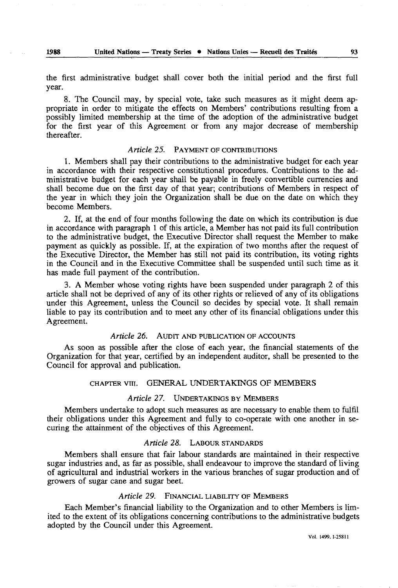the first administrative budget shall cover both the initial period and the first full year.

8. The Council may, by special vote, take such measures as it might deem ap propriate in order to mitigate the effects on Members' contributions resulting from a possibly limited membership at the time of the adoption of the administrative budget for the first year of this Agreement or from any major decrease of membership thereafter.

#### *Article* 25. PAYMENT OF CONTRIBUTIONS

1. Members shall pay their contributions to the administrative budget for each year in accordance with their respective constitutional procedures. Contributions to the ad ministrative budget for each year shall be payable in freely convertible currencies and shall become due on the first day of that year; contributions of Members in respect of the year in which they join the Organization shall be due on the date on which they become Members.

2. If, at the end of four months following the date on which its contribution is due in accordance with paragraph 1 of this article, a Member has not paid its full contribution to the administrative budget, the Executive Director shall request the Member to make payment as quickly as possible. If, at the expiration of two months after the request of the Executive Director, the Member has still not paid its contribution, its voting rights in the Council and in the Executive Committee shall be suspended until such time as it has made full payment of the contribution.

3. A Member whose voting rights have been suspended under paragraph 2 of this article shall not be deprived of any of its other rights or relieved of any of its obligations under this Agreement, unless the Council so decides by special vote. It shall remain liable to pay its contribution and to meet any other of its financial obligations under this Agreement.

#### *Article 26.* AUDIT AND PUBLICATION OF ACCOUNTS

As soon as possible after the close of each year, the financial statements of the Organization for that year, certified by an independent auditor, shall be presented to the Council for approval and publication.

#### CHAPTER VIII. GENERAL UNDERTAKINGS OF MEMBERS

#### *Article 27.* UNDERTAKINGS BY MEMBERS

Members undertake to adopt such measures as are necessary to enable them to fulfil their obligations under this Agreement and fully to co-operate with one another in se curing the attainment of the objectives of this Agreement.

#### *Article 28.* LABOUR STANDARDS

Members shall ensure that fair labour standards are maintained in their respective sugar industries and, as far as possible, shall endeavour to improve the standard of living of agricultural and industrial workers in the various branches of sugar production and of growers of sugar cane and sugar beet.

#### *Article 29.* FINANCIAL LIABILITY OF MEMBERS

Each Member's financial liability to the Organization and to other Members is lim ited to the extent of its obligations concerning contributions to the administrative budgets adopted by the Council under this Agreement.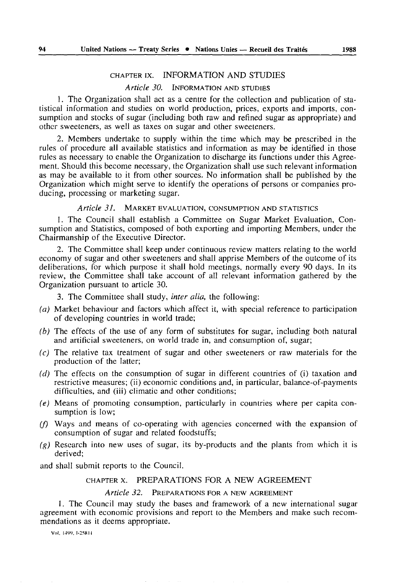#### CHAPTER ix. INFORMATION AND STUDIES

### *Article 30.* INFORMATION AND STUDIES

1. The Organization shall act as a centre for the collection and publication of statistical information and studies on world production, prices, exports and imports, con sumption and stocks of sugar (including both raw and refined sugar as appropriate) and other sweeteners, as well as taxes on sugar and other sweeteners.

2. Members undertake to supply within the time which may be prescribed in the rules of procedure all available statistics and information as may be identified in those rules as necessary to enable the Organization to discharge its functions under this Agree ment. Should this become necessary, the Organization shall use such relevant information as may be available to it from other sources. No information shall be published by the Organization which might serve to identify the operations of persons or companies pro ducing, processing or marketing sugar.

#### *Article 31,* MARKET EVALUATION, CONSUMPTION AND STATISTICS

1. The Council shall establish a Committee on Sugar Market Evaluation, Con sumption and Statistics, composed of both exporting and importing Members, under the Chairmanship of the Executive Director.

2. The Committee shall keep under continuous review matters relating to the world economy of sugar and other sweeteners and shall apprise Members of the outcome of its deliberations, for which purpose it shall hold meetings, normally every 90 days. In its review, the Committee shall take account of all relevant information gathered by the Organization pursuant to article 30.

3. The Committee shall study, *inter alia,* the following:

- *(a)* Market behaviour and factors which affect it, with special reference to participation of developing countries in world trade;
- *(b)* The effects of the use of any form of substitutes for sugar, including both natural and artificial sweeteners, on world trade in, and consumption of, sugar;
- *(c)* The relative tax treatment of sugar and other sweeteners or raw materials for the production of the latter;
- *(d)* The effects on the consumption of sugar in different countries of (i) taxation and restrictive measures; (ii) economic conditions and, in particular, balance-of-payments difficulties, and (iii) climatic and other conditions;
- *(e)* Means of promoting consumption, particularly in countries where per capita con sumption is low;
- *(f)* Ways and means of co-operating with agencies concerned with the expansion of consumption of sugar and related foodstuffs;
- *(g)* Research into new uses of sugar, its by-products and the plants from which it is derived;

and shall submit reports to the Council.

#### CHAPTER x. PREPARATIONS FOR A NEW AGREEMENT

#### *Article 32.* PREPARATIONS FOR A NEW AGREEMENT

1. The Council may study the bases and framework of a new international sugar agreement with economic provisions and report to the Members and make such recom mendations as it deems appropriate.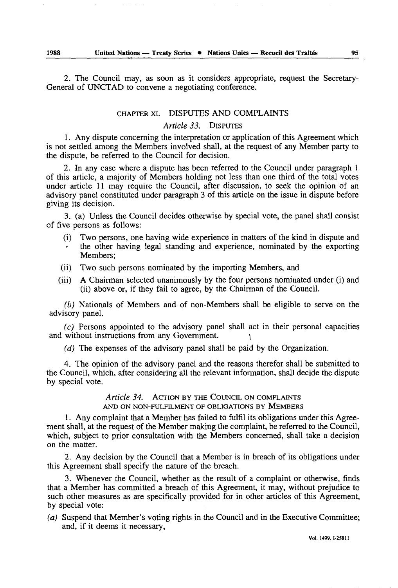2. The Council may, as soon as it considers appropriate, request the Secretary-General of UNCTAD to convene a negotiating conference.

### CHAPTER xi. DISPUTES AND COMPLAINTS

### *Article 33.* DISPUTES

1. Any dispute concerning the interpretation or application of this Agreement which is not settled among the Members involved shall, at the request of any Member party to the dispute, be referred to the Council for decision.

2. In any case where a dispute has been referred to the Council under paragraph 1 of this article, a majority of Members holding not less than one third of the total votes under article 11 may require the Council, after discussion, to seek the opinion of an advisory panel constituted under paragraph 3 of this article on the issue in dispute before giving its decision.

3. (a) Unless the Council decides otherwise by special vote, the panel shall consist of five persons as follows:

- (i) Two persons, one having wide experience in matters of the kind in dispute and the other having legal standing and experience, nominated by the exporting Members;
- (ii) Two such persons nominated by the importing Members, and
- (iii) A Chairman selected unanimously by the four persons nominated under (i) and (ii) above or, if they fail to agree, by the Chairman of the Council.

*(b)* Nationals of Members and of non-Members shall be eligible to serve on the advisory panel.

*(c)* Persons appointed to the advisory panel shall act in their personal capacities and without instructions from any Government. *\*

*(d)* The expenses of the advisory panel shall be paid by the Organization.

4. The opinion of the advisory panel and the reasons therefor shall be submitted to the Council, which, after considering all the relevant information, shall decide the dispute by special vote.

> *Article 34.* ACTION BY THE COUNCIL ON COMPLAINTS AND ON NON-FULFILMENT OF OBLIGATIONS BY MEMBERS

1. Any complaint that a Member has failed to fulfil its obligations under this Agree ment shall, at the request of the Member making the complaint, be referred to the Council, which, subject to prior consultation with the Members concerned, shall take a decision on the matter.

2. Any decision by the Council that a Member is in breach of its obligations under this Agreement shall specify the nature of the breach.

3. Whenever the Council, whether as the result of a complaint or otherwise, finds that a Member has committed a breach of this Agreement, it may, without prejudice to such other measures as are specifically provided for in other articles of this Agreement, by special vote:

*(a)* Suspend that Member's voting rights in the Council and in the Executive Committee; and, if it deems it necessary,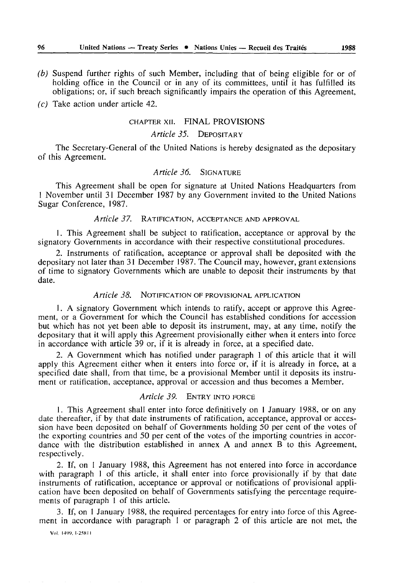- *(b)* Suspend further rights of such Member, including that of being eligible for or of holding office in the Council or in any of its committees, until it has fulfilled its obligations; or, if such breach significantly impairs the operation of this Agreement,
- *(c)* Take action under article 42.

#### CHAPTER xii. FINAL PROVISIONS

### *Article 35.* DEPOSITARY

The Secretary-General of the United Nations is hereby designated as the depositary of this Agreement.

#### *Article 36.* SIGNATURE

This Agreement shall be open for signature at United Nations Headquarters from 1 November until 31 December 1987 by any Government invited to the United Nations Sugar Conference, 1987.

### *Article 37.* RATIFICATION, ACCEPTANCE AND APPROVAL

1. This Agreement shall be subject to ratification, acceptance or approval by the signatory Governments in accordance with their respective constitutional procedures.

2. Instruments of ratification, acceptance or approval shall be deposited with the depositary not later than 31 December 1987. The Council may, however, grant extensions of time to signatory Governments which are unable to deposit their instruments by that date.

#### *Article 38.* NOTIFICATION OF PROVISIONAL APPLICATION

1. A signatory Government which intends to ratify, accept or approve this Agree ment, or a Government for which the Council has established conditions for accession but which has not yet been able to deposit its instrument, may, at any time, notify the depositary that it will apply this Agreement provisionally either when it enters into force in accordance with article 39 or, if it is already in force, at a specified date.

2. A Government which has notified under paragraph 1 of this article that it will apply this Agreement either when it enters into force or, if it is already in force, at a specified date shall, from that time, be a provisional Member until it deposits its instru ment or ratification, acceptance, approval or accession and thus becomes a Member.

#### *Article 39.* ENTRY INTO FORCE

1. This Agreement shall enter into force definitively on 1 January 1988, or on any date thereafter, if by that date instruments of ratification, acceptance, approval or acces sion have been deposited on behalf of Governments holding 50 per cent of the votes of the exporting countries and 50 per cent of the votes of the importing countries in accor dance with the distribution established in annex A and annex B to this Agreement, respectively.

2. If, on 1 January 1988, this Agreement has not entered into force in accordance with paragraph 1 of this article, it shall enter into force provisionally if by that date instruments of ratification, acceptance or approval or notifications of provisional appli cation have been deposited on behalf of Governments satisfying the percentage require ments of paragraph 1 of this article.

3. If, on 1 January 1988, the required percentages for entry into force of this Agree ment in accordance with paragraph 1 or paragraph 2 of this article are not met, the

Vol. I4W, I-25KI I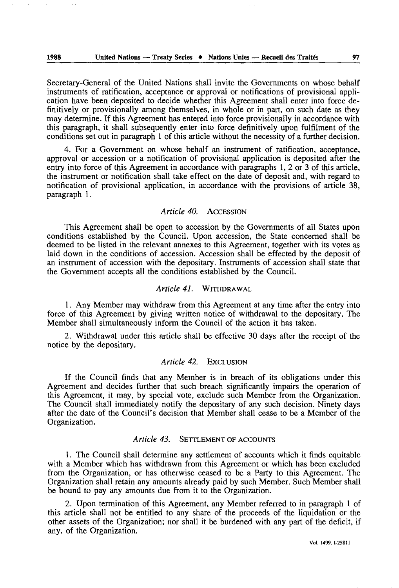Secretary-General of the United Nations shall invite the Governments on whose behalf instruments of ratification, acceptance or approval or notifications of provisional appli cation have been deposited to decide whether this Agreement shall enter into force de finitively or provisionally among themselves, in whole or in part, on such date as they may determine. If this Agreement has entered into force provisionally in accordance with this paragraph, it shall subsequently enter into force definitively upon fulfilment of the conditions set out in paragraph 1 of this article without the necessity of a further decision.

4. For a Government on whose behalf an instrument of ratification, acceptance, approval or accession or a notification of provisional application is deposited after the entry into force of this Agreement in accordance with paragraphs 1, 2 or 3 of this article, the instrument or notification shall take effect on the date of deposit and, with regard to notification of provisional application, in accordance with the provisions of article 38, paragraph 1.

### *Article 40.* ACCESSION

This Agreement shall be open to accession by the Governments of all States upon conditions established by the Council. Upon accession, the State concerned shall be deemed to be listed in the relevant annexes to this Agreement, together with its votes as laid down in the conditions of accession. Accession shall be effected by the deposit of an instrument of accession with the depositary. Instruments of accession shall state that the Government accepts all the conditions established by the Council.

#### *Article 4L* WITHDRAWAL

1. Any Member may withdraw from this Agreement at any time after the entry into force of this Agreement by giving written notice of withdrawal to the depositary. The Member shall simultaneously inform the Council of the action it has taken.

2. Withdrawal under this article shall be effective 30 days after the receipt of the notice by the depositary.

#### *Article 42.* EXCLUSION

If the Council finds that any Member is in breach of its obligations under this Agreement and decides further that such breach significantly impairs the operation of this Agreement, it may, by special vote, exclude such Member from the Organization. The Council shall immediately notify the depositary of any such decision. Ninety days after the date of the Council's decision that Member shall cease to be a Member of the Organization.

### *Article 43.* SETTLEMENT OF ACCOUNTS

1. The Council shall determine any settlement of accounts which it finds equitable with a Member which has withdrawn from this Agreement or which has been excluded from the Organization, or has otherwise ceased to be a Party to this Agreement. The Organization shall retain any amounts already paid by such Member. Such Member shall be bound to pay any amounts due from it to the Organization.

2. Upon termination of this Agreement, any Member referred to in paragraph 1 of this article shall not be entitled to any share of the proceeds of the liquidation or the other assets of the Organization; nor shall it be burdened with any part of the deficit, if any, of the Organization.

Vol. 1499. 1-258II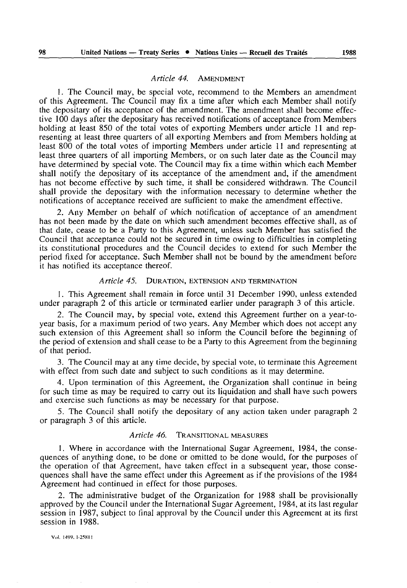#### *Article 44.* AMENDMENT

1. The Council may, be special vote, recommend to the Members an amendment of this Agreement. The Council may fix a time after which each Member shall notify the depositary of its acceptance of the amendment. The amendment shall become effec tive 100 days after the depositary has received notifications of acceptance from Members holding at least 850 of the total votes of exporting Members under article 11 and rep resenting at least three quarters of all exporting Members and from Members holding at least 800 of the total votes of importing Members under article 11 and representing at least three quarters of all importing Members, or on such later date as the Council may have determined by special vote. The Council may fix a time within which each Member shall notify the depositary of its acceptance of the amendment and, if the amendment has not become effective by such time, it shall be considered withdrawn. The Council shall provide the depositary with the information necessary to determine whether the notifications of acceptance received are sufficient to make the amendment effective.

2. Any Member on behalf of which notification of acceptance of an amendment has not been made by the date on which such amendment becomes effective shall, as of that date, cease to be a Party to this Agreement, unless such Member has satisfied the Council that acceptance could not be secured in time owing to difficulties in completing its constitutional procedures and the Council decides to extend for such Member the period fixed for acceptance. Such Member shall not be bound by the amendment before it has notified its acceptance thereof.

#### *Article 45.* DURATION, EXTENSION AND TERMINATION

1. This Agreement shall remain in force until 31 December 1990, unless extended under paragraph 2 of this article or terminated earlier under paragraph 3 of this article.

2. The Council may, by special vote, extend this Agreement further on a year-toyear basis, for a maximum period of two years. Any Member which does not accept any such extension of this Agreement shall so inform the Council before the beginning of the period of extension and shall cease to be a Party to this Agreement from the beginning of that period.

3. The Council may at any time decide, by special vote, to terminate this Agreement with effect from such date and subject to such conditions as it may determine.

4. Upon termination of this Agreement, the Organization shall continue in being for such time as may be required to carry out its liquidation and shall have such powers and exercise such functions as may be necessary for that purpose.

*5.* The Council shall notify the depositary of any action taken under paragraph 2 or paragraph 3 of this article.

#### *Article 46.* TRANSITIONAL MEASURES

1. Where in accordance with the International Sugar Agreement, 1984, the conse quences of anything done, to be done or omitted to be done would, for the purposes of the operation of that Agreement, have taken effect in a subsequent year, those conse quences shall have the same effect under this Agreement as if the provisions of the 1984 Agreement had continued in effect for those purposes.

2. The administrative budget of the Organization for 1988 shall be provisionally approved by the Council under the International Sugar Agreement, 1984, at its last regular session in 1987, subject to final approval by the Council under this Agreement at its first session in 1988.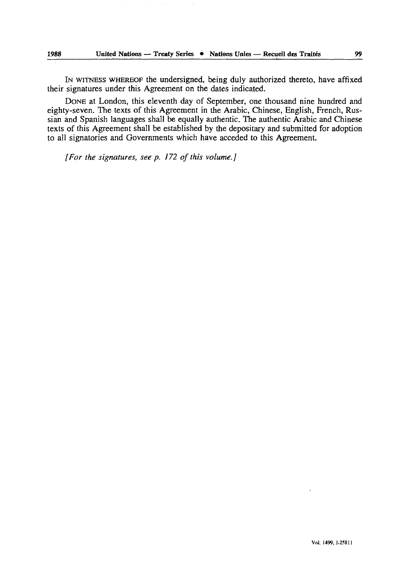IN WITNESS WHEREOF the undersigned, being duly authorized thereto, have affixed their signatures under this Agreement on the dates indicated.

DONE at London, this eleventh day of September, one thousand nine hundred and eighty-seven. The texts of this Agreement in the Arabic, Chinese, English, French, Rus sian and Spanish languages shall be equally authentic. The authentic Arabic and Chinese texts of this Agreement shall be established by the depositary and submitted for adoption to all signatories and Governments which have acceded to this Agreement.

*[For the signatures, see p. 172 of this volume.]*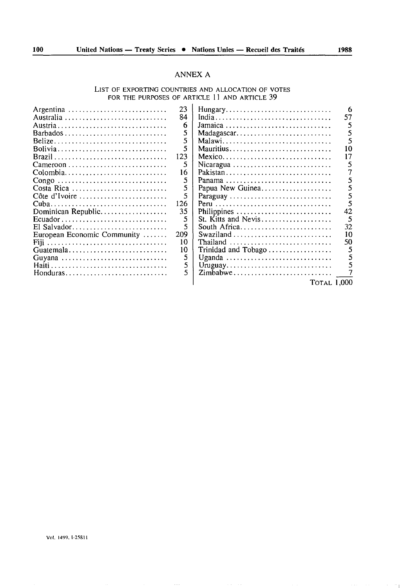#### ANNEX A

### LIST OF EXPORTING COUNTRIES AND ALLOCATION OF VOTES FOR THE PURPOSES OF ARTICLE 11 AND ARTICLE 39

| Argentina<br>Australia<br>Barbados<br>Belize<br>Bolivia<br>Colombia<br>Congo<br>Costa Rica<br>Côte d'Ivoire<br>Dominican Republic<br>$Ecuador \ldots \ldots \ldots \ldots \ldots \ldots \ldots \ldots$<br>European Economic Community $\dots$<br>Fiii<br>Guatemala<br>Guyana | 23<br>84<br>6<br>5<br>5<br>5<br>123<br>5<br>16<br>5<br>5<br>5<br>126<br>35<br>5<br>209<br>10<br>10<br>5<br>5 | $M$ adagascar<br>Malawi<br>Nicaragua<br>Pakistan<br>Panama<br>Papua New Guinea<br>Paraguay<br>Philippines<br>St. Kitts and Nevis<br>South Africa<br>Swaziland<br>Thailand<br>Trinidad and Tobago<br>Uruguay | 57<br>42<br>32<br>10<br>50 |
|------------------------------------------------------------------------------------------------------------------------------------------------------------------------------------------------------------------------------------------------------------------------------|--------------------------------------------------------------------------------------------------------------|-------------------------------------------------------------------------------------------------------------------------------------------------------------------------------------------------------------|----------------------------|
| Honduras                                                                                                                                                                                                                                                                     |                                                                                                              | TOTAL 1,000                                                                                                                                                                                                 |                            |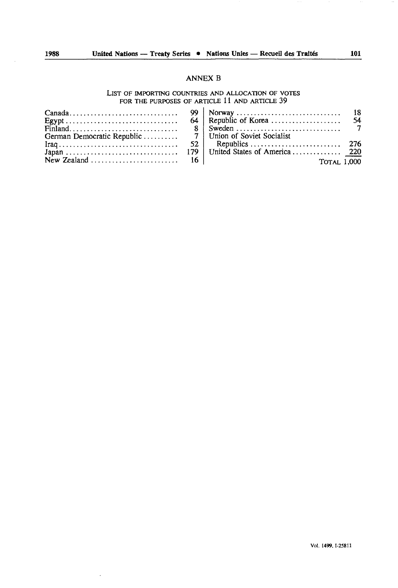#### ANNEX B

#### LIST OF IMPORTING COUNTRIES AND ALLOCATION OF VOTES FOR THE PURPOSES OF ARTICLE 11 AND ARTICLE 39

|  | TOTAL 1.000 |  |
|--|-------------|--|

 $\overline{\phantom{a}}$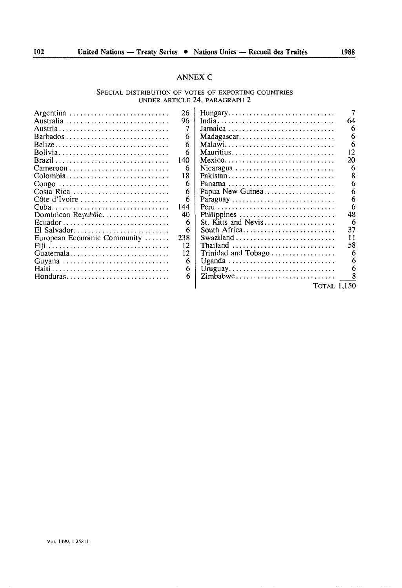### ANNEX C

#### SPECIAL DISTRIBUTION OF VOTES OF EXPORTING COUNTRIES UNDER ARTICLE 24, PARAGRAPH 2

| Argentina                                                                | 26  | Hungary                                                                 |    |
|--------------------------------------------------------------------------|-----|-------------------------------------------------------------------------|----|
|                                                                          | 96  |                                                                         | 64 |
|                                                                          |     |                                                                         |    |
|                                                                          |     |                                                                         |    |
|                                                                          | 6   | $Madagascar. \ldots \ldots \ldots \ldots \ldots \ldots \ldots \ldots$   |    |
| Belize                                                                   | 6   | Malawi                                                                  |    |
| Bolivia                                                                  | 6   | Mauritius                                                               |    |
|                                                                          | 140 | $Mexico \ldots \ldots \ldots \ldots \ldots \ldots \ldots \ldots \ldots$ | 20 |
|                                                                          | 6   |                                                                         |    |
| Colombia                                                                 | 18  | Pakistan                                                                |    |
| Congo                                                                    | 6   | Panama                                                                  |    |
| Costa Rica                                                               | 6   | Papua New Guinea                                                        |    |
| Côte d'Ivoire                                                            | 6   | Paraguay                                                                |    |
|                                                                          | 144 |                                                                         |    |
| Dominican Republic                                                       | 40  | Philippines                                                             | 48 |
| $Ecuador \ldots \ldots \ldots \ldots \ldots \ldots \ldots \ldots \ldots$ | 6   | St. Kitts and Nevis                                                     |    |
| El Salvador                                                              | 6   | South Africa                                                            | 37 |
| European Economic Community                                              | 238 |                                                                         |    |
|                                                                          | 12  | Thailand                                                                | 58 |
| Guatemala                                                                | 12  |                                                                         |    |
| Guvana                                                                   | 6   | Uganda                                                                  |    |
|                                                                          | 6   | Uruguay                                                                 | 6  |
| Honduras                                                                 | 6   | Zimbabwe                                                                |    |
|                                                                          |     | '1'0tal 1,150                                                           |    |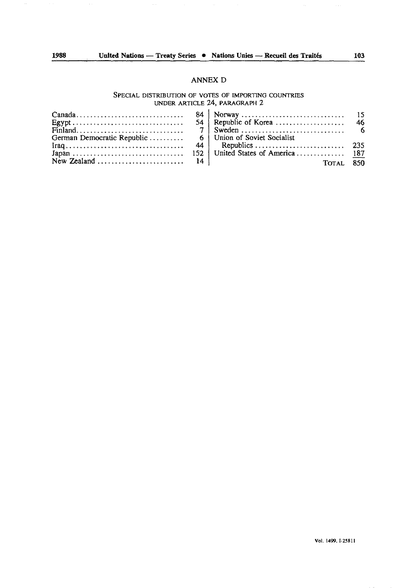### ANNEX D

#### SPECIAL DISTRIBUTION OF VOTES OF IMPORTING COUNTRIES UNDER ARTICLE 24, PARAGRAPH 2

|  | TOTAL 850 |  |
|--|-----------|--|

Vol. 1499.1-25811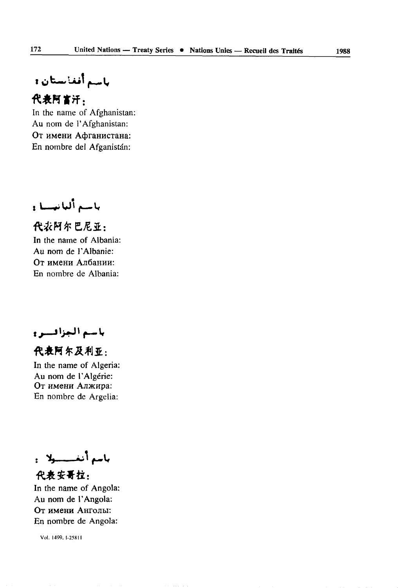باسم أفغانستان و

## 代表阿富汗.

In the name of Afghanistan: Au nom de l'Afghanistan: От имени Афганистана: En nombre del Afganistán:

باسيع ألبانيسسا و

代表阿尔巴尼亚, In the name of Albania: Au nom de l'Albanie: От имени Албании: En nombre de Albania:

باسيم الجزافيسرو

代表阿尔及利亚:

In the name of Algeria: Au nom de l'Algérie: От имени Алжира: En nombre de Argelia:

باسع أنغـــــولا : 代表安哥拉:

In the name of Angola: Au nom de l'Angola: От имени Анголы: En nombre de Angola:

Vol. 1499. 1-258 11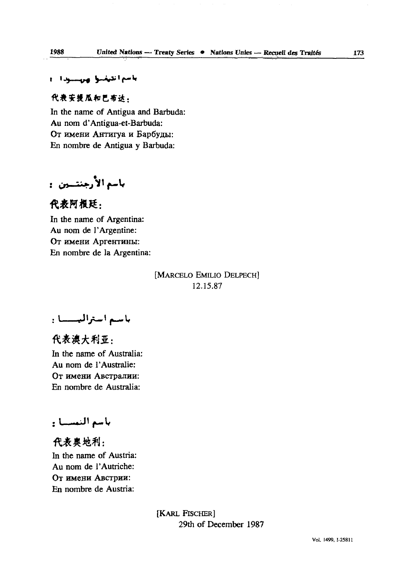### باسم انتيضنوا وبرسسودان

### 代表安提瓜和巴布达:

In the name of Antigua and Barbuda: Au nom d'Antigua-et-Barbuda: От имени Антигуа и Барбуды: En nombre de Antigua y Barbuda:

باسم الأرجنتسين :

### 代表阿根廷:

In the name of Argentina: Au nom de l'Argentine: От имени Аргентины: En nombre de la Argentina:

> [MARCELO EMILIO DELPECH] 12.15.87

باسم استراليسسا :

代表澳大利亚: In the name of Australia: Au nom de l'Australie: От имени Австралии: En nombre de Australia:

### بأسم النمسسا :

代表専地利: In the name of Austria: Au nom de l'Autriche: OT HMCHH ABCTPHH: En nombre de Austria:

> [KARL FISCHER] 29th of December 1987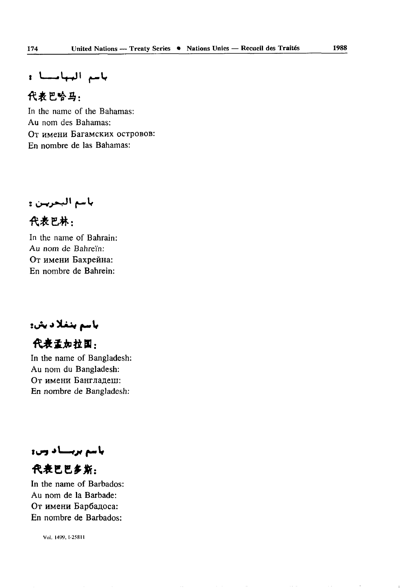باسم البيابليا :

### 代表巴哈马:

In the name of the Bahamas: Au nom des Bahamas: OT HMCHH BaraMCKHX OCTPOBOB: En nombre de las Bahamas:

باسم البحريـن ۽

代表巴林: In the name of Bahrain:

Au nom de Bahreïn: От имени Бахрейна: En nombre de Bahrein:

باسم بنغلاديش:

代表孟加拉国:

In the name of Bangladesh: Au nom du Bangladesh: От имени Бангладеш: En nombre de Bangladesh:

باسم بربستاد وس:

代表巴巴多斯: In the name of Barbados: Au nom de la Barbade: От имени Барбадоса: En nombre de Barbados:

Vol. I499. I-258H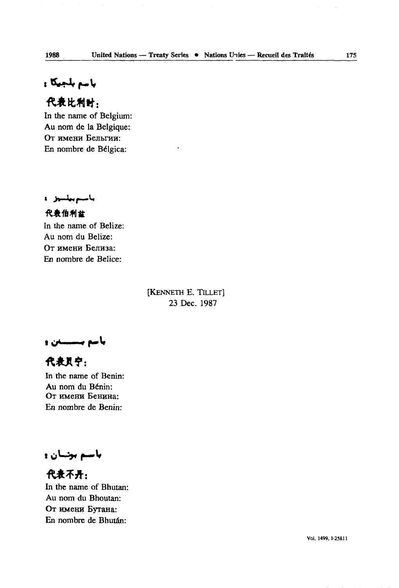باسم بلجيكا و

### 代表比利时:

In the name of Belgium: Au nom de la Belgique: От имени Бельгии: En nombre de Bélgica:

باستربيلتين ه

代表伯利士 In the name of Belize: Au nom du Belize: От имени Белиза: En nombre de Belice:

> [KENNETH E. TlLLET] 23 Dec. 1987

باسم بسسدن و

代表员宁: In the name of Benin: Au nom du Bénin: От имени Бенина: En nombre de Benin:

**باسم بو**نسان و

代表不开: In the name of Bhutan: Au nom du Bhoutan: OT HMCHH Byrana: En nombre de Bhutan: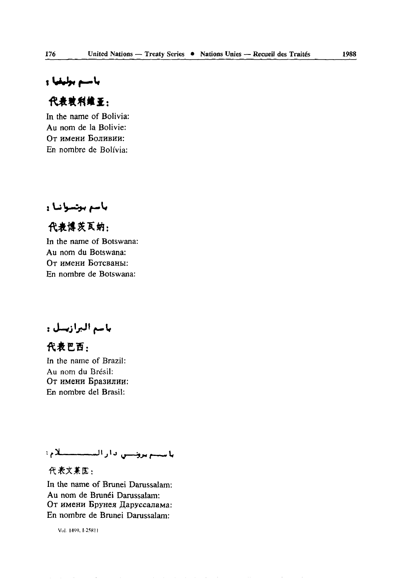### باسم بوليقيا و

### 代表独利维亚:

In the name of Bolivia: Au nom de la Bolivie: От имени Боливии: En nombre de Bolivia:

باسم بونسوانيا و

代表博茨瓦纳: In the name of Botswana: Au nom du Botswana: OT HMCHH BoTcsaHBi: En nombre de Botswana:

باسم البرازيسل :

代表巴西:

In the name of Brazil: Au nom du Brésil: От имени Бразилии: En nombre del Brasil:

باستم بروسي دار السنستندلام؛

### 代表文某国:

In the name of Brunei Darussalam: Au nom de Brunei Darussalam: От имени Брунея Даруссалама: En nombre de Brunei Darussalam:

 $\Delta$  , and  $\Delta$  , and  $\Delta$  , and  $\Delta$  , and  $\Delta$  , and  $\Delta$  , and  $\Delta$  , and  $\Delta$  , and  $\Delta$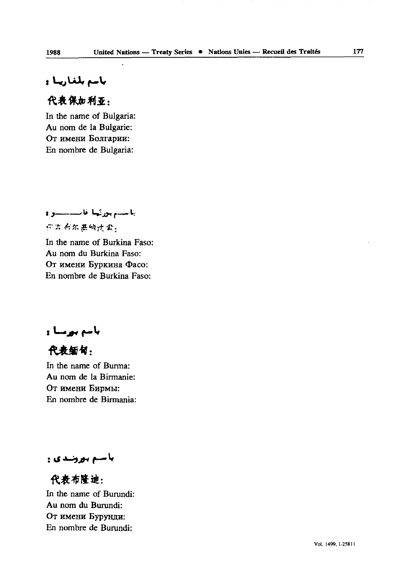### ولى لىغان بى ل

### 代表保加利亚.

In the name of Bulgaria: Au nom de la Bulgarie: От имени Болгарии: En nombre de Bulgaria:

ياسسم بورثينا فانستسبوني

### 你为有尔基纳计套,

In the name of Burkina Faso: Au nom du Burkina Faso: От имени Буркина Фасо: En nombre de Burkina Faso:

باسم بورسا و

代表缅甸:

In the name of Burma: Au nom de la Birmanie: OT HMCHH EHPMM: En nombre de Birmania:

باسم بورنندي ۽

代表布隆迪: In the name of Burundi: Au nom du Burundi: От имени Бурунди: En nombre de Burundi: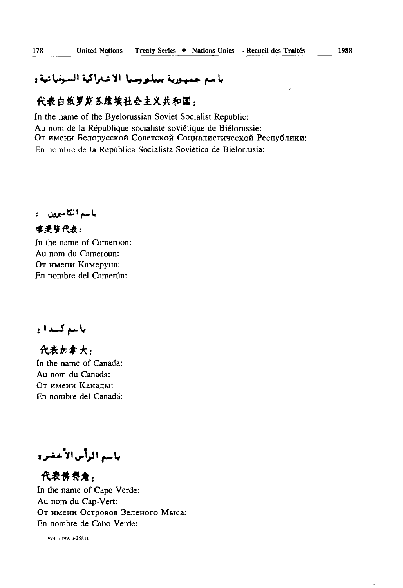### باسم جمهورية ببيلورسيا الاشتراكية السوفياتية،

### 代表白俄罗斯苏维埃社会主义共和国:

In the name of the Byelorussian Soviet Socialist Republic: Au nom de la République socialiste soviétique de Biélorussie: От имени Белорусской Советской Социалистической Республики: En nombre de la Repiîblica Socialista Soviética de Bielorrusia:

باسم الكاميرون :

### 或者路代表:

In the name of Cameroon: Au nom du Cameroun: OT HMCHH KaMepyna: En nombre del Camerûn:

باسم كنيدا :

代表加全大,

In the name of Canada: Au nom du Canada: От имени Канады: En nombre del Canada:

باسم الرأس الأعضر و

代表佛得角: In the name of Cape Verde: Au nom du Cap-Vert: От имени Островов Зеленого Мыса: En nombre de Cabo Verde:

Viil. 14'W, 1-25811

 $\overline{\phantom{a}}$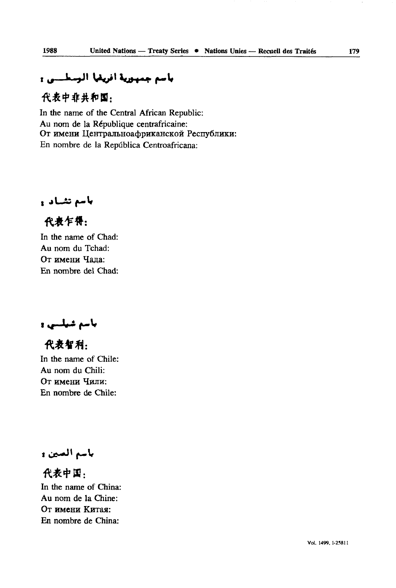# باسم جمهورية أفريقيا المسطينين

代表中非共和国,

In the name of the Central African Republic: Au nom de la République centrafricaine: От имени Центральноафриканской Республики: En nombre de la Repiîblica Centroafricana:

باسع نشياد و

代表乍得:

In the name of Chad: Au nom du Tchad: От имени Чала: En nombre del Chad:

ياسم شيلسي و

代表智利: In the name of Chile:

Au nom du Chili: От имени Чили: En nombre de Chile:

باسم الصين و

代表中国. In the name of China: Au nom de la Chine: От имени Китая: En nombre de China: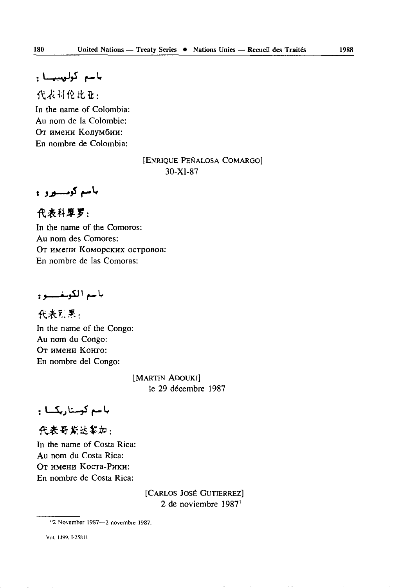باسع كوليسيسا و

代表科伦比亚: In the name of Colombia: Au nom de la Colombie: OT HM6HH KOJIVMÔHH: En nombre de Colombia:

### [ENRIQUE PENALOSA COMARGO] 30-XI-87

باسم كومسيور و

代表科摩罗: In the name of the Comoros: Au nom des Comores: OT HMCHH KOMOpCKHX OCTpOBOB: En nombre de las Comoras:

باسع الكويغيسيو و

代表E.累: In the name of the Congo: Au nom du Congo: OT HMCHH KOHFO: En nombre del Congo:

> [MARTIN ADOUKI] le 29 décembre 1987

باسم كوسناريكسا :

代表哥斯达黎加:

In the name of Costa Rica: Au nom du Costa Rica: OT HMCHH Kocra-PHKH: En nombre de Costa Rica:

> [CARLOS JOSÉ GUTIERREZ] 2 de noviembre 1987'

<sup>&</sup>quot;2 November 1987—2 novembre 1987.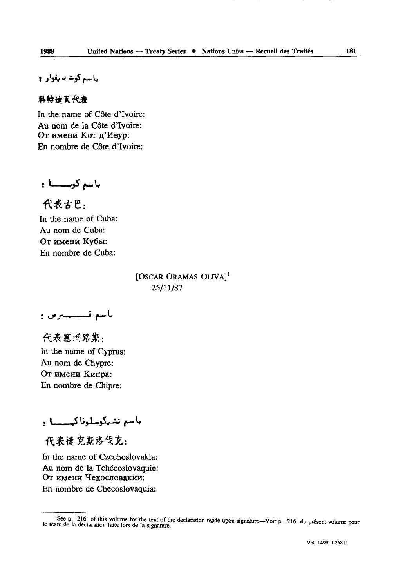باسم گوت تا بغوار م

### 科特迪瓦代表

In the name of Côte d'Ivoire: Au nom de la Côte d'Ivoire: От имени Кот п'Ивур: En nombre de Côte d'Ivoire:

باسم كوينسا:

代表古巴:

In the name of Cuba: Au nom de Cuba: От имени Кубы: En nombre de Cuba:

> [OSCAR ORAMAS OLIVA]' 25/11/87

باسم قىسسىيرس ۋ

代表塞浦路期: In the name of Cyprus: Au nom de Chypre: От имени Кипра: En nombre de Chipre:

ماسم تشيكوسلوفاكهيسسا و

代表诸克斯洛伐克:

In the name of Czechoslovakia: Au nom de la Tchécoslovaquie: От имени Чехословакии: En nombre de Checoslovaquia:

<sup>&#</sup>x27;See p. 216 of this volume for the text of the declaration made upon signature-Voir p. 216 du present volume pour le texte de la déclaration faite lors de la signature.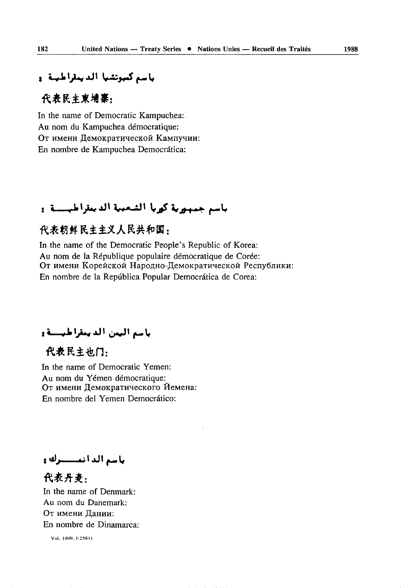### باسع كموتشيا الديمقراطيبة و

### 代表民主東埔寨:

In the name of Democratic Kampuchea: Au nom du Kampuchea démocratique: От имени Демократической Кампучии: En nombre de Kampuchea Democrâtica:

## باسم جمهورية كوربا الشعبية الديعتراطيسية و

### 代表朝鲜民主主义人民共和国:

In the name of the Democratic People's Republic of Korea: Au nom de la République populaire démocratique de Corée: От имени Корейской Народно-Демократической Республики: En nombre de la Repiiblica Popular Democrâtica de Corea:

باسم اليمن الديمقراطيسة و

# 代表民主业门,

In the name of Democratic Yemen: Au nom du Yemen démocratique: От имени Пемократического Йемена: En nombre del Yemen Democrâtico:

باسع الدانعة وله و

代表丹事. In the name of Denmark: Au nom du Danemark: От имени Дании: En nombre de Dinamarca: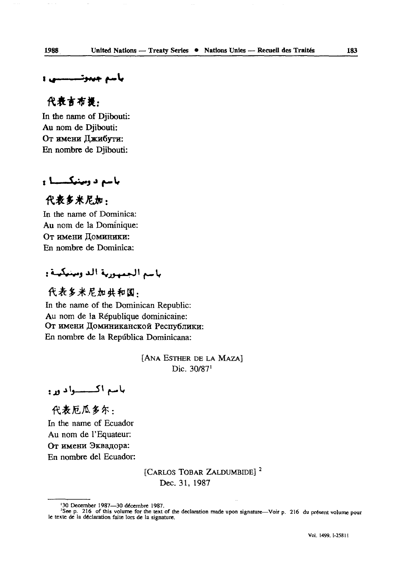### ياسم جيبوتـــــــي 1

### 代表吉布提:

In the name of Djibouti: Au nom de Djibouti: От имени Джибути: En nombre de Djibouti:

### باسم د وبينيكـــــا و

### 代表多米尼加:

In the name of Dominica: Au nom de la Dominique: От имени Доминики: En nombre de Dominica:

### باسم الجمهورية الد ومينيكينة :

代表多米尼加共和国. In the name of the Dominican Republic: Au nom de la République dominicaine: От имени Доминиканской Республики: En nombre de la Repûblica Dominicana:

> [ANA ESTHER DE LA MAZA] Die. 30/87'

باسم اکستسواد ور:

代表厄瓜多尔: In the name of Ecuador Au nom de l'Equateur: От имени Эквадора: En nombre del Ecuador:

> [CARLOS TOBAR ZALDUMBIDE]<sup>2</sup> Dec. 31, 1987

<sup>&</sup>lt;sup>1</sup>30 December 1987—30 décembre 1987.<br><sup>2</sup>See p. 216 of this volume for the text of the declaration made upon signature—Voir p. 216 du présent volume pour<br>le texte de la déclaration faite lors de la signature.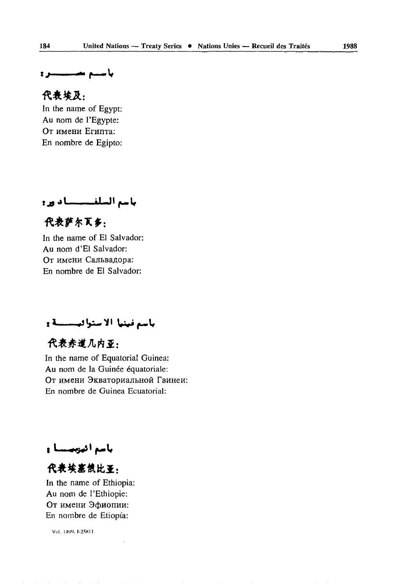### باستم تعسيستنزو

### 代表培及:

In the name of Egypt: Au nom de l'Egypte: От имени Египта: En nombre de Egipto:

باسم السلف المسادور

# 代表萨尔瓦乡:

In the name of El Salvador: Au nom d'El Salvador: От имени Сальвадора: En nombre de El Salvador:

باسم فينيا الاستوافيسسسة و

# 代表赤道几内亚:

In the name of Equatorial Guinea: Au nom de la Guinée équatoriale: От имени Экваториальной Гвинеи: En nombre de Guinea Ecuatorial:

باسم انبهبستا و

# 代表埃塞俄比亚:

In the name of Ethiopia: Au nom de l'Ethiopie: От имени Эфиопии: En nombre de Etiopia: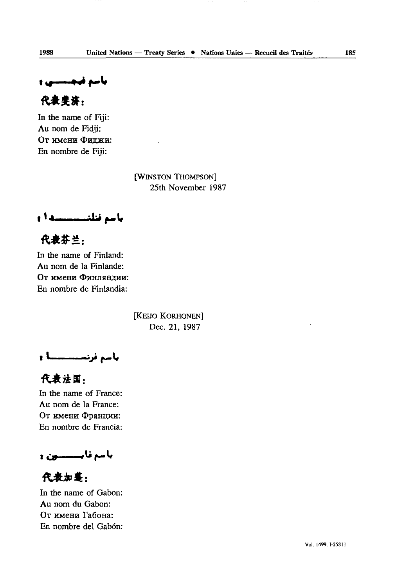باسم فیجسسی و

代表要济:

In the name of Fiji: Au nom de Fidji: От имени Фиджи: En nombre de Fiji:

> [WINSTON THOMPSON] 25th November 1987

**باسم فنلنــــــــدا :** 

代表芬兰:

In the name of Finland: Au nom de la Finlande: От имени Финляндии: En nombre de Finlandia:

> [KEIJO KORHONEN] Dec. 21, 1987

باسم فرنســــــــــا <mark>:</mark>

代表法国: In the name of France: Au nom de la France: От имени Франции: En nombre de Francia:

باسم فابــــــــــون و

代表加基:

In the name of Gabon: Au nom du Gabon: От имени Габона: En nombre del Gabon: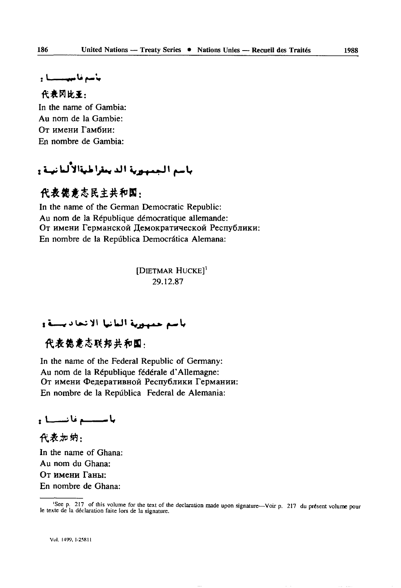باسد فاستنسسنا .

### 代表冈比亚:

In the name of Gambia: Au nom de la Gambie: Oт имени Гамбии<sup>.</sup> En nombre de Gambia:

# باسم المسهوبة الديعقراطيةالألبانهية و

### 代表德意志民主共和国:

In the name of the German Democratic Republic: Au nom de la République démocratique allemande: От имени Германской Демократической Республики: En nombre de la Repûblica Democrâtica Alemana:

> [DIETMAR HUCKE]<sup>1</sup> 29.12.87

### باسم جمهورية البانيا الانجاديسية و

代表焦意志联邦共和国,

In the name of the Federal Republic of Germany: Au nom de la République fédérale d'Allemagne: От имени Федеративной Республики Германии: En nombre de la Repûblica Federal de Alemania:

باستسبع فانسسيا و

代表加纳: In the name of Ghana: Au nom du Ghana: OT HMCHH FaHbi: En nombre de Ghana:

<sup>&#</sup>x27;Seep. 217 of this volume for the text of the declaration made upon signature—Voir p. 217 du présent volume pour le texte de la déclaration faite lors de la signature.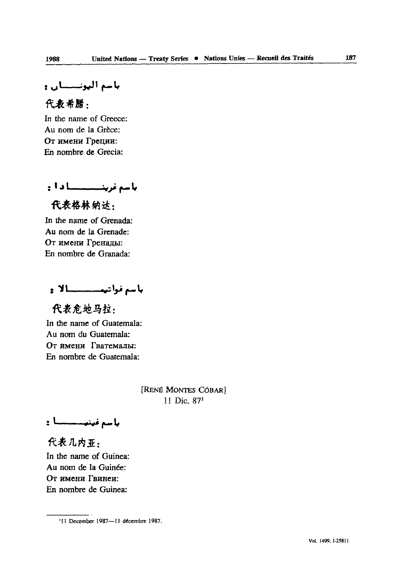باسم اليونسسان و

代表希腊:

In the name of Greece: Au nom de la Grèce: От имени Греции: En nombre de Grecia:

بأسم غرينييييسسسا دا:

代表格林纳达·

In the name of Grenada: Au nom de la Grenade: От имени Гренады: En nombre de Granada:

باسع فواتيم مستطلات

代表危地马拉: In the name of Guatemala: Au nom du Guatemala: От имени Гватемалы: En nombre de Guatemala:

> [RENÉ MONTES CÓBAR] 11 Die. 87'

باسع غينيـــــــا :

代表几内亚. In the name of Guinea: Au nom de la Guinée: **OT** HMCHH FBHHeH: En nombre de Guinea:

<sup>&#</sup>x27;11 December 1987—11 décembre 1987.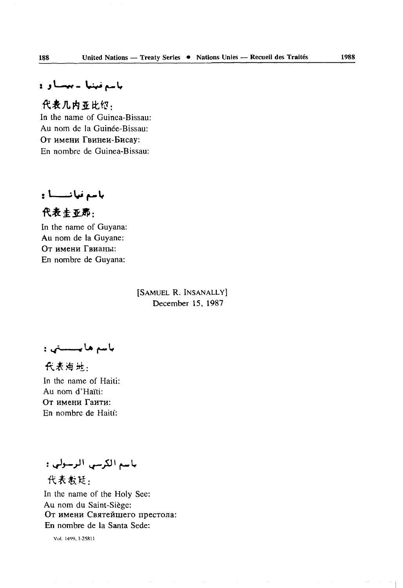## باسم فينيا - بيستاو د

代表几内亚比绍: In the name of Guinea-Bissau: Au nom de la Guinée-Bissau: От имени Гвинеи-Бисау: En nombre de Guinea-Bissau:

باسم نيانــــا :

代表主亚那.

In the name of Guyana: Au nom de la Guyane: OT HMCHH TBHaHbi: En nombre de Guyana:

> [SAMUEL R. INSANALLY] December 15, 1987

باسم هايسستي :

代表海州, In the name of Haiti: Au nom d'Haïti: OT HMCHH FauTH: En nombre de Haiti':

باسم الكرسي الرسولي :

代表教廷. In the name of the Holy See: Au nom du Saint-Siège: От имени Святейшего престола: En nombre de la Santa Sede:

Vol. I4W. 1-25SII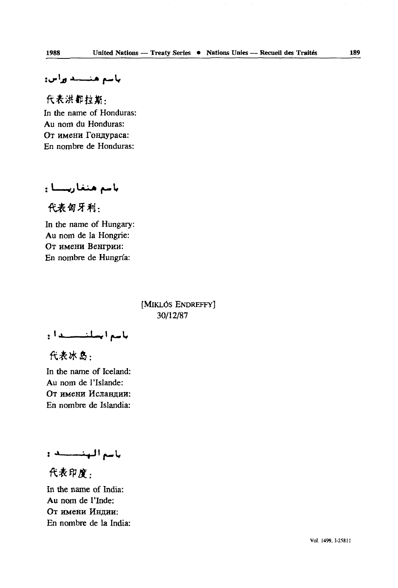ياسم هنسسد وراس:

代表洪都拉斯, In the name of Honduras: Au nom du Honduras: От имени Гондураса: En nombre de Honduras:

باسم هنغاريسيا :

代表匈牙利:

In the name of Hungary: Au nom de la Hongrie: От имени Венгрии: En nombre de Hungria:

> [MiKLôs ENDREFFY] 30/12/87

باسع ايسلنسسندان

代表冰岛:

In the name of Iceland: Au nom de l'Islande: От имени Исландии: En nombre de Islandia:

باسم الهنسسية :

代表印度.

In the name of India: Au nom de l'Inde: От имени Индии: En nombre de la India: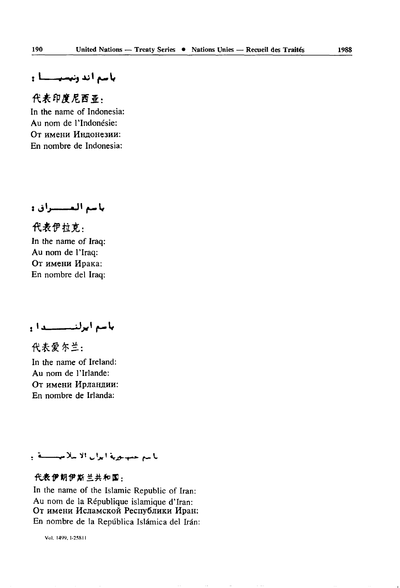### باسع أند وتبسيستنا :

### 代表印度尼西亚:

In the name of Indonesia: Au nom de l'Indonésie: От имени Индонезии: En nombre de Indonesia:

باسم المسسراق:

代表伊拉克: In the name of Iraq: Au nom de l'Iraq: От имени Ирака: En nombre del Iraq:

باسع ابرلنيسسيدان

代表爱尔兰:

In the name of Ireland: Au nom de l'Irlande: От имени Ирландии: En nombre de Irlanda:

### باللم عميلورية ايران الأسلاميستنقع

### 代表伊朗伊斯兰共和国:

In the name of the Islamic Republic of Iran: Au nom de la République islamique d'Iran: От имени Исламской Республики Иран: En nombre de la República Islámica del Irán:

Vol. I4W, 1-258 II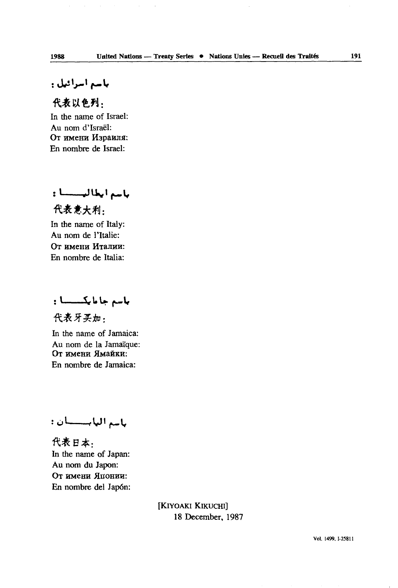## باسم أسرائيل :

### 代表以色列,

In the name of Israel: Au nom d'Israël: От имени Израиля: En nombre de Israël:

باسم أيطالبسسا: 代表意大利.

In the name of Italy: Au nom de l'Italie: От имени Италии: En nombre de Italia:

باسم جاما یکسسسا :

代表牙买加.

In the name of Jamaica: Au nom de la Jamaïque: От имени Ямайки: En nombre de Jamaica:

باسع البابسسيان:

代表日本: In the name of Japan: Au nom du Japon: От имени Японии: En nombre del Japon:

> [KIYOAKI KIKUCHI] 18 December, 1987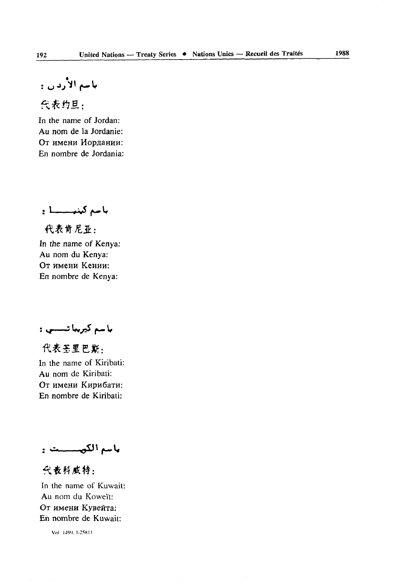باسم الأردن :

代表约旦:

In the name of Jordan: Au nom de la Jordanie: От имени Иордании: En nombre de Jordania:

باسم كينبـــــا :

代表肯尼亚: In the name of Kenya: Au nom du Kenya: От имени Кении: En nombre de Kenya:

باسم كيربيا تـــــي :

代表基里巴斯: In the name of Kiribati: Au nom de Kiribati: От имени Кирибати: En nombre de Kiribati:

باسم الكهيسست و

代表科威特:

In the name of Kuwait: Au nom du Koweït: От имени Кувейта: En nombre de Kuwait:

Vol 149'), I-25K1I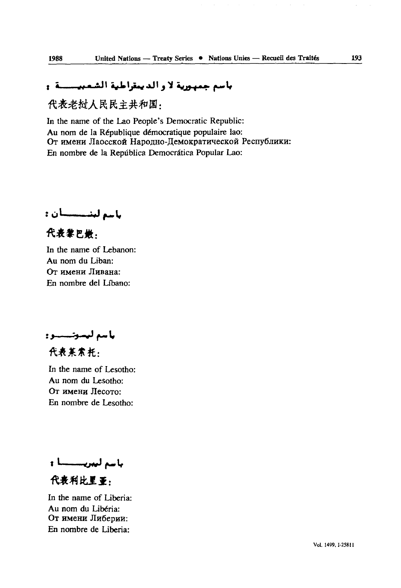### باسم جمهورية لا و الديمقراطية الشمبيــــــة و

代表老挝人民民主共和国:

In the name of the Lao People's Democratic Republic: Au nom de la République démocratique populaire lao: От имени Лаосской Народно-Демократической Республики: En nombre de la Repûblica Democràtica Popular Lao:

باسع لينسسسيان :

代表黎巴嫩. In the name of Lebanon: Au nom du Liban: OT HMCHH Jlnsana: En nombre del Lfbano:

باسم ليسوتسسوو

代表某素并:

In the name of Lesotho: Au nom du Lesotho: OT HMCHH JlecoTO: En nombre de Lesotho:

باسم ليبريســـا:

代表利比里亚.

In the name of Liberia: Au nom du Libéria: От имени Либерии: En nombre de Libéria: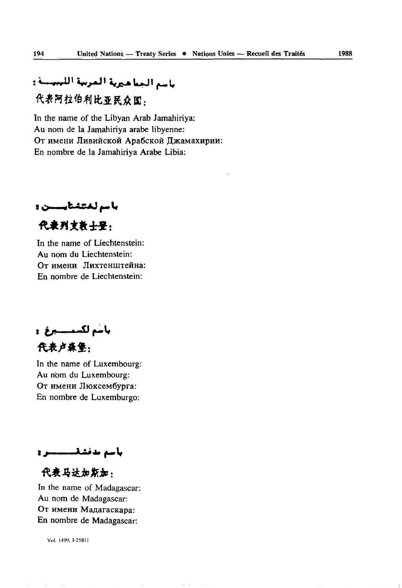# باسم الجناهيرية المربية الليبيسة و 代表阿拉伯利比亚民众国,

In the name of the Libyan Arab Jamahiriya: Au nom de la Jamahiriya arabe libyenne: От имени Ливийской Арабской Джамахирии: En nombre de la Jamahiriya Arabe Libia:

با سم لختشت<del>ا بـــــــن و</del>

代表列支持十平:

In the name of Liechtenstein: Au nom du Liechtenstein: От имени Лихтенштейна: En nombre de Liechtenstein:

.<br>باسم لك*سمــــــبر*غ 代表卢森堡:

In the name of Luxembourg: Au nom du Luxembourg: От имени Люксембурга: En nombre de Luxemburgo:

بأسم بدفشقىسىسىر و

代表马达加斯加:

In the name of Madagascar: Au nom de Madagascar: От имени Мадагаскара: En nombre de Madagascar: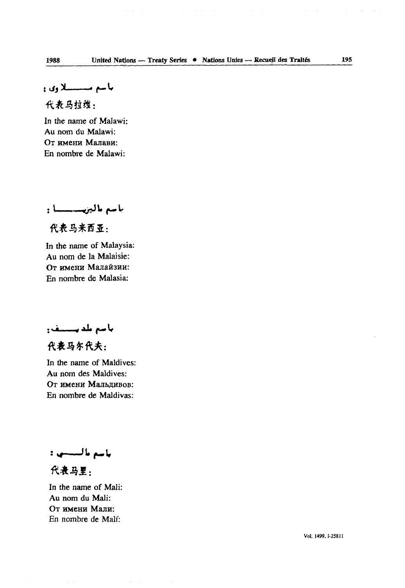باسم مستسلاوي و

代表马拉维:

In the name of Malawi: Au nom du Malawi: От имени Малави: En nombre de Malawi:

*باسم مالين ـــــا* :

代表马来西亚:

In the name of Malaysia: Au nom de la Malaisie: От имени Малайзии: En nombre de Malasia:

**AU** *f^m* **If**

代表马尔代夫:

In the name of Maldives: Au nom des Maldives: OT HMCHH MaJIhflHBOB: En nombre de Maldivas:

باسع بالسبيني:

代表马里.

In the name of Mali: Au nom du Mali: От имени Мали: En nombre de Mali: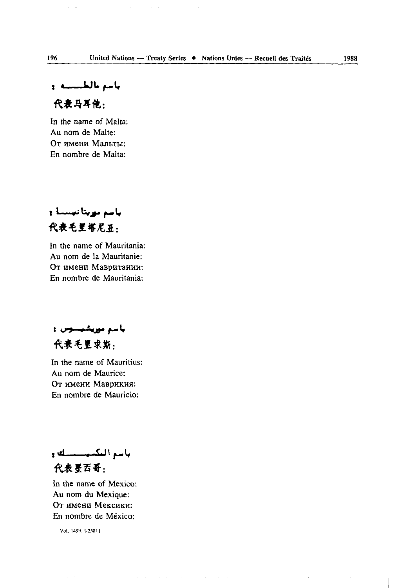ياسم بالطبيسية. و

### 代表马耳他:

In *the* name of Malta: Au nom de Malte: От имени Мальты: En nombre de Malta:

باسم مويتا نيسسا و 代表毛里塔尼亚:

In the name of Mauritania: Au nom de la Mauritanie: От имени Мавритании: En nombre de Mauritania:

باسم مورشیسوس : 代表毛里求斯:

In the name of Mauritius: Au nom de Maurice: **OT** HM6HH MaBpHKHH: En nombre de Mauricio:

باسع المكسيستسلف 代表星西哥:

In the name of Mexico: Au nom du Mexique: От имени Мексики: En nombre de Mexico: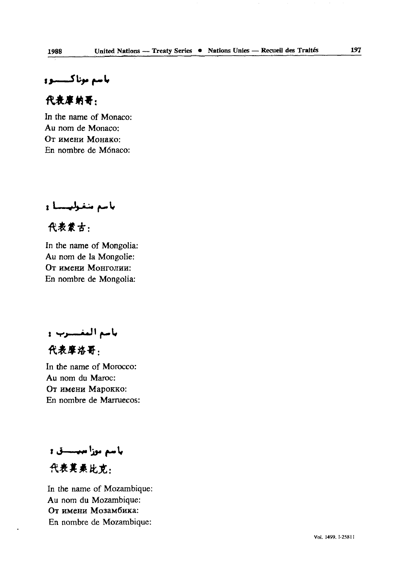باسم موناكيسينيو

### 代表库纳哥:

In the name of Monaco: Au nom de Monaco: OT HMCHH MonaKo: En nombre de Monaco:

باسم متغولهسسا و

代表蒙古:

In the name of Mongolia: Au nom de la Mongolie: OT HMCHH MOHTOJIHH: En nombre de Mongolia:

بامم التغسيرب و

代表摩洛哥.

In the name of Morocco: Au nom du Maroc: OT HMCHH MapOKKo: En nombre de Marruecos:

باسم موزا ميسسق : 代表其素比克:

In the name of Mozambique: Au nom du Mozambique: От имени Мозамбика: En nombre de Mozambique: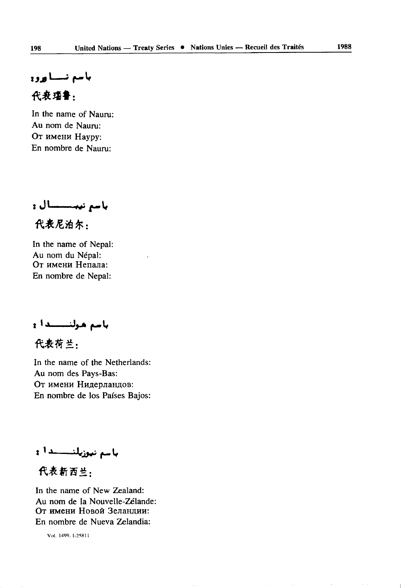باسع نسسا ورو 代表瑞鲁:

### In the name of Nauru: Au nom de Nauru: От имени Haypy: En nombre de Nauru:

باسم نيبسسسال و 代表尼泊尔:

In the name of Nepal: Au nom du Népal: От имени Непала: En nombre de Népal:

باسم هولتــــدا و

代表荷兰:

In the name of the Netherlands: Au nom des Pays-Bas: От имени Нидерландов: En nombre de los Países Bajos:

**باسم نيوزيلنــــــدا ۽** 

代表新西兰:

In the name of New Zealand: Au nom de la Nouvelle-Zélande: От имени Новой Зеландии: En nombre de Nueva Zelandia: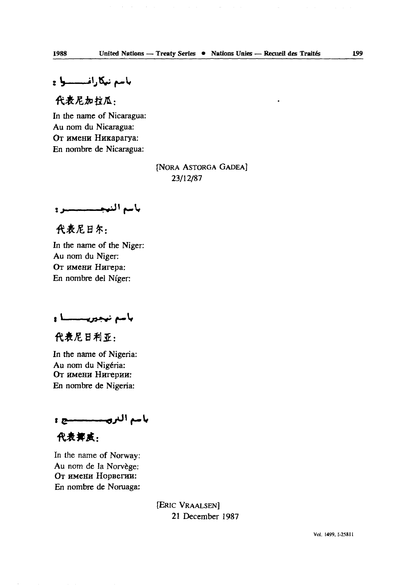代表尼加拉瓜.

In the name of Nicaragua: Au nom du Nicaragua: От имени Никарагуа: En nombre de Nicaragua:

> [NORA ASTORGA GADEA] 23/12/87

باسم النبجسسسسيرو

代表尼日尔:

In the name of the Niger: Au nom du Niger: OT HMCHH Hurepa: En nombre del Niger:

باسم نیجوریــــــا و

代表尼日利亚:

In the name of Nigeria: Au nom du Nigéria: От имени Нигерии: En nombre de Nigeria:

باسم التروسسسسسنج و

代表都成.

In the name of Norway: Au nom de la Norvège: От имени Норвегии: En nombre de Noruaga:

> [ERIC VRAALSEN] 21 **December** 1987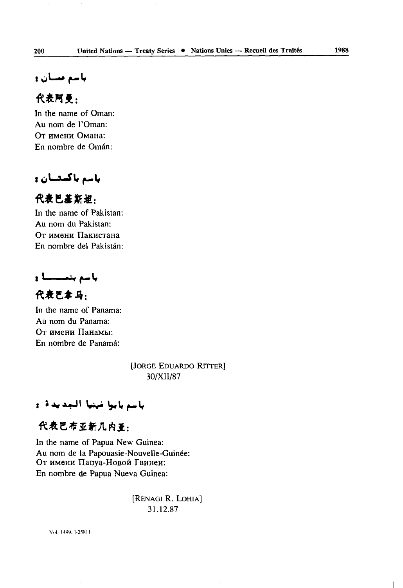باسم مسان و

### 代表阿曼:

In the name of Oman: Au nom de l'Oman: От имени Омана: En nombre de Oman:

### باسم باکسیسان و

### 代表巴基斯坦:

In the name of Pakistan: Au nom du Pakistan: От имени Пакистана En nombre del Pakistan:

باسم بنمسسا و

代表巴拿马:

In the name of Panama: Au nom du Panama: От имени Панамы: En nombre de Panama:

> [JORGE EDUARDO RITTER] 30/XII/87

### باسم بابوا غينيا الجديدة و

### 代表巴布亚新几内亚:

In the name of Papua New Guinea: Au nom de la Papouasie-Nouvelle-Guinée: От имени Папуа-Новой Гвинеи: En nombre de Papua Nueva Guinea:

> [RENAGI R. LOHIA] 31.12.87

Vol. I4W. I-258II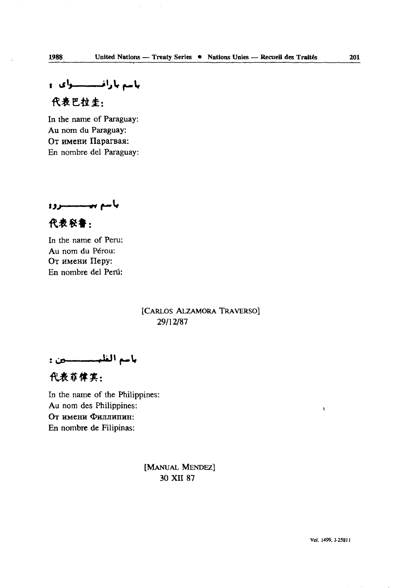باسم بارافستنسسوای و

# 代表巴拉圭,

In the name of Paraguay: Au nom du Paraguay: От имени Парагвая: En nombre del Paraguay:

بأسم بيــــــــروه

代表秘鲁:

In the name of Peru: Au nom du Pérou: OT имени Перу: En nombre del Peru:

> [CARLOS ALZAMORA TRAVERSO] 29/12/87

代表菲律宾:

In the name of the Philippines: Au nom des Philippines: От имени Филлипин: En nombre de Filipinas:

> [MANUAL MENDEZ] 30 XII 87

ł.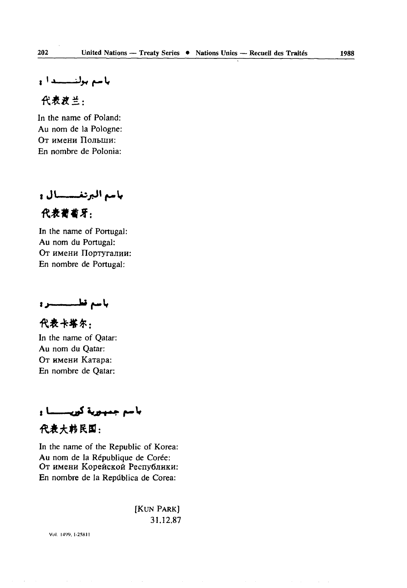بأسم بولنسسدان

代表波兰.

In the name of Poland: Au nom de la Pologne: От имени Польши: En nombre de Polonia:

باسم البرنغسسسال و

代表葡萄牙:

In the name of Portugal: Au nom du Portugal: От имени Португалии: En nombre de Portugal:

باسم تطسيستيرو

代表卡塔尔: In the name of Qatar: Au nom du Qatar: OT HM6HH KaTapa: En nombre de Qatar:

باسم جمهورية كوريستسنا و

代表大韩民国:

In the name of the Republic of Korea: Au nom de la République de Corée: От имени Корейской Республики: En nombre de la Repûblica de Corea:

> [KUN PARK] 31.12.87

Vol. I4TO, I-258I1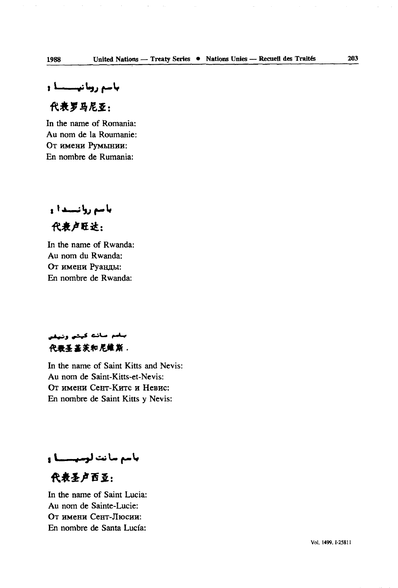### 代表罗马尼亚:

In the name of Romania: Au nom de la Roumanie: От имени Румынии: En nombre de Rumania:

باسم روانستدا و

代表卢旺达:

In the name of Rwanda: Au nom du Rwanda: От имени Руанды: En nombre de Rwanda:

### يبضم منائته كيثني وتيقن 代表圣基茨和尼维斯。

In the name of Saint Kitts and Nevis: Au nom de Saint-Kitts-et-Nevis: От имени Сент-Китс и Невис: En nombre de Saint Kitts y Nevis:

## باسم سانت لوسيسسنا و

代表圣卢西亚:

In the name of Saint Lucia: Au nom de Sainte-Lucie: **OT HMCHH CCHT-JIlOCHH:** En nombre de Santa Lucfa: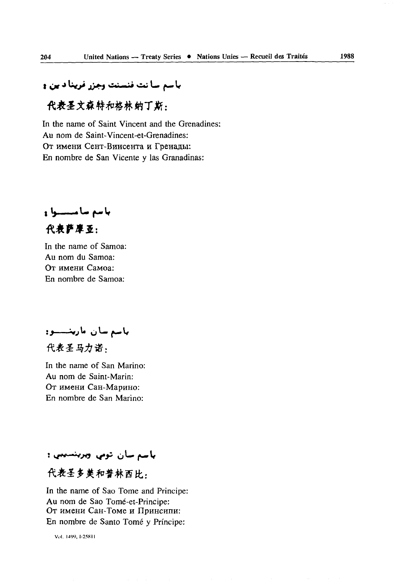# باسم سائت فنسنت وجزر فرينا د ين و

## 代表圣文森特和格林纳丁斯,

In the name of Saint Vincent and the Grenadines: Au nom de Saint- Vincent-et-Grenadines: От имени Сент-Винсента и Греналы: En nombre de San Vicente y las Granadinas:

باسم سامسسوا و 代表萨摩亚:

In the name of Samoa: Au nom du Samoa: От имени Самоа: En nombre de Samoa:

باسم سان مارينــــــــو:

代表圣马力诺,

In the name of San Marino: Au nom de Saint-Marin: От имени Сан-Марино: En nombre de San Marino:

### باسم سان تومي وبريتسيبي ۽

### 代表圣多美和普林西比.

In the name of Sao Tome and Principe: Au nom de Sao Tomé-et-Principe: От имени Сан-Томе и Принсипи: En nombre de Santo Tome *y* Principe:

Vol. I4W, 1-2581 I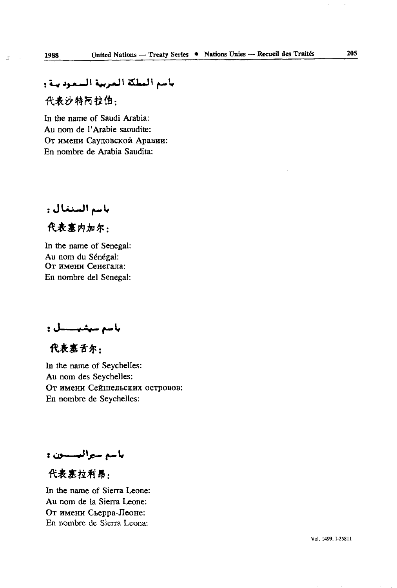# باسم العطكة العربية السعود ينة <del>.</del> 代表沙特阿拉伯:

In the name of Saudi Arabia: Au nom de l'Arabie saoudite: От имени Саудовской Аравии: En nombre de Arabia Saudita:

باسم السنغال :

代表塞内加尔:

In the name of Senegal: Au nom du Sénégal: От имени Сенегала: En nombre del Senegal:

باسم سيشيــــــل :

代表塞舌尔:

In the name of Seychelles: Au nom des Seychelles: От имени Сейшельских островов: En nombre de Seychelles:

باسم سيراليسسون :

代表案拉利昂:

In the name of Sierra Leone: Au nom de la Sierra Leone: От имени Сьерра-Леоне: En nombre de Sierra Leona:

 $\bar{z}$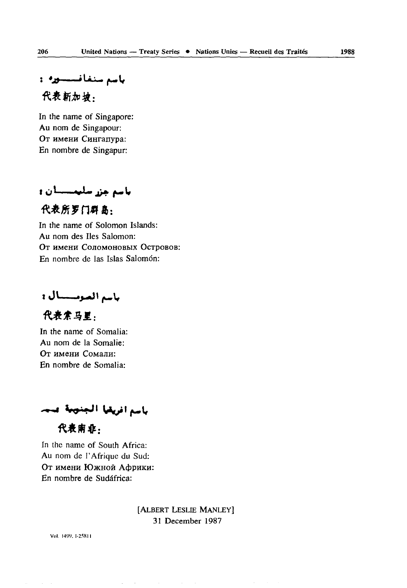ياسم سنغافسسوره: د

代表新加坡.

In the name of Singapore: Au nom de Singapour: От имени Сингапура: En nombre de Singapur:

باسم جزر سليمسسان و

代表所罗门群岛:

In the name of Solomon Islands: Au nom des Iles Salomon: **OT** HMCHH COJIOMOHOBBIX **OCTpOBOB:** En nombre de las Islas Salomón:

باسم الصوميسيال :

代表索马里. In the name of Somalia: Au nom de la Somalie: От имени Сомали: En nombre de Somalia:

باسم افريقيا الجنوبة عنما

代表南非,

In the name of South Africa: Au nom de l'Afrique du Sud: От имени Южной Африки: En nombre de Sudâfrica:

> [ALBERT LESLIE MANLEY] 3l December 1987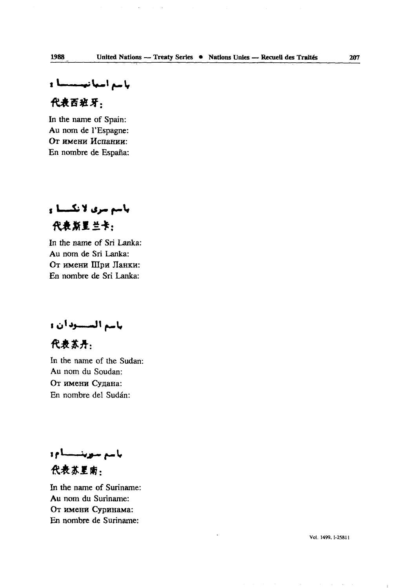باسم اسبانیستستا و

### 代表西班牙:

In the name of Spain: Au nom de l'Espagne: От имени Испании: En nombre de Espafia:

باسم سری لانکستا و 代表新里兰卡:

In the name of Sri Lanka: Au nom de Sri Lanka: От имени Шри Ланки: En nombre de Sri Lanka:

باسم المتسبودان و

代表苏丹:

In the name of the Sudan: Au nom du Soudan: От имени Судана: En nombre del Sudan:

باسع سوينبطوو

代表苏星南.

In the name of Suriname: Au nom du Suriname: От имени Суринама: En nombre de Suriname: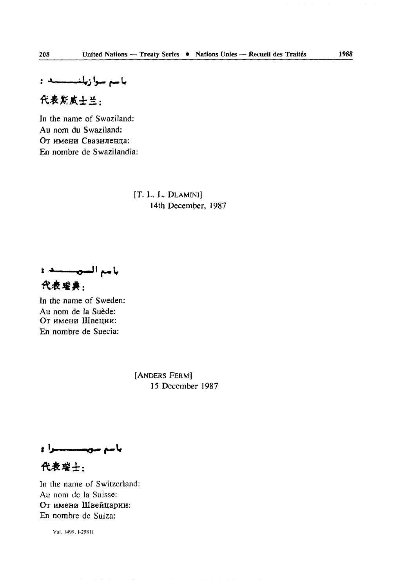باسم سوازیلنىسىسە :

代表期成士兰:

In the name of Swaziland: Au nom du Swaziland: От имени Свазиленда: En nombre de Swazilandia:

> [T. L. L. DLAMINI] 14th December, 1987

باسم السويستند : 代表璀典:

In the name of Sweden: Au nom de la Suède: От имени Швеции: En nombre de Suecia:

> [ANDERS FERM] 15 December 1987

باسم سويسسسسرا و

代表瑞士:

In the name of Switzerland: Au nom de la Suisse: От имени Швейцарии: En nombre de Suiza: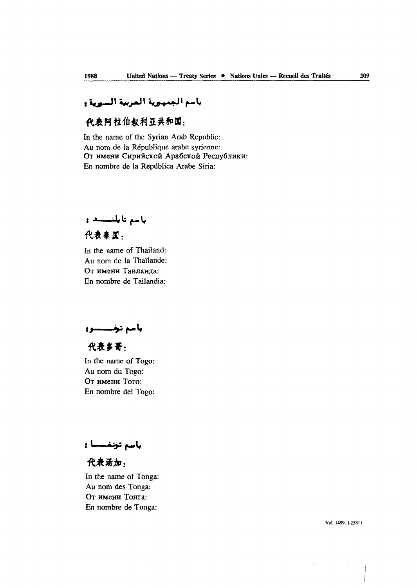### باسم الجمهوية العربية السوية و

## 代表阿拉伯叙利亚共和国:

In the name of the Syrian Arab Republic Au nom de la République arabe syrienne От имени Сирийской Арабской Республики: En nombre de la Repûblica Arabe Siria:

باسم تايلنسسد و

代表来图:

In the name of Thailand: Au nom de la Thaïlande: От имени Таиланпа: En nombre de Tailandia:

باسم تخسسسوه

代表多哥:

In the name of Togo: Au nom du Togo: OT HMCHH Toro: En nombre del Togo:

باسم تونفسسا ۽

代表汤加:

In the name of Tonga: Au nom des Tonga: От имени Тонга: En nombre de Tonga: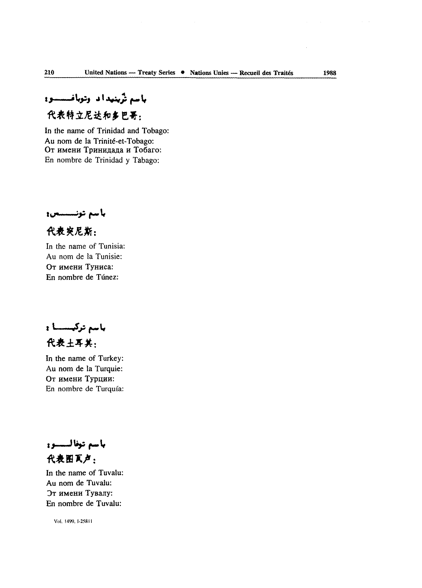باسم تزينيداد وتوبانمسسوه

# 代表特立尼达和多巴哥:

In the name of Trinidad and Tobago: Au nom de la Trinité-et-Tobago: От имени Тринидада и Тобаго: En nombre de Trinidad y Tabago:

باسم تونسسس:

代表突尼斯:

In the name of Tunisia: Au nom de la Tunisie: OT HMCHH TyHHca: En nombre de Túnez:

باسم ترکیسسا : 代表土耳其:

In the name of Turkey: Au nom de la Turquie: От имени Турции: En nombre de Turquia:

باسم توفاليسيوو 代表图页卢:

In the name of Tuvalu: Au nom de Tuvalu: Эт имени Тувалу: En nombre de Tuvalu: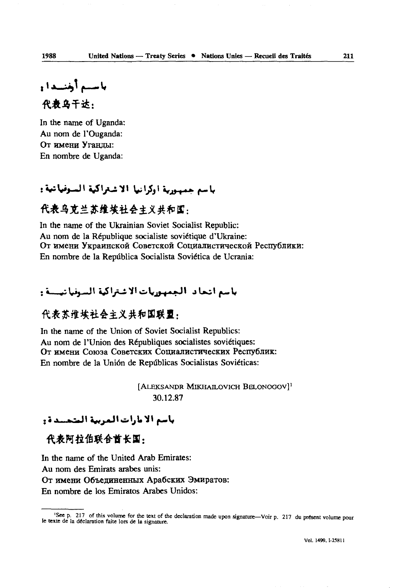باستم أرتشندا و 代表乌干达:

In the name of Uganda: Au nom de l'Ouganda: От имени Уганцы: En nombre de Uganda:

### باسع جسورية أوكرانيا الاشتراكية السوفياتية:

## 代表乌克兰苏维埃社会主义共和国:

In the name of the Ukrainian Soviet Socialist Republic: Au nom de la République socialiste soviétique d'Ukraine: От имени Украинской Советской Социалистической Республики: En nombre de la Repûblica Socialista Soviética de Ucrania:

### باسع انجاد الجمهوريات الاشتراكية السوفيانيسية و

### 代表苏维埃社会主义共和国联盟:

In the name of the Union of Soviet Socialist Republics: Au nom de l'Union des Républiques socialistes soviétiques: От имени Союза Советских Социалистических Республик: En nombre de la Union de Repûblicas Socialistas Soviéticas:

> [ALEKSANDR MIKHAILOVICH BELONOGOV]<sup>1</sup> 30.12.87

### باسم الأمارات المرببة المتحسدة و

代表阿拉伯联合酋长国:

In the name of the United Arab Emirates: Au nom des Emirats arabes unis: От имени Объединенных Арабских Эмиратов: En nombre de los Emiratos Arabes Unidos:

<sup>&#</sup>x27;Seep. 217 of this volume for the text of the declaration made upon signature—Voir p. 217 du présent volume pour le texte de la déclaration faite lors de la signature.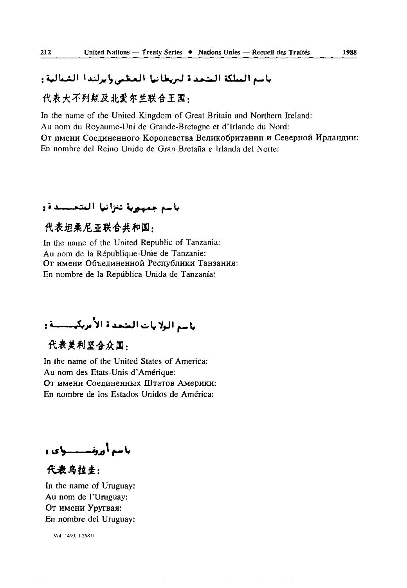### باسم البيلكة المتحدة لبريطانيا المظمى وايرلندا الشبالية:

### 代表大不列颠及北爱尔兰联合王国,

In the name of the United Kingdom of Great Britain and Northern Ireland: Au nom du Royaume-Uni de Grande-Bretagne et d'Irlande du Nord: От имени Соединенного Королевства Великобритании и Северной Ирландии: En nombre del Reino Unido de Gran Bretaña e Irlanda del Norte:

## باسم جمهورية تنزانيا المتحسسدة:

### 代表坦桑尼亚联合共和国,

In the name of the United Republic of Tanzania: Au nom de la République-Unie de Tanzanie: От имени Объединенной Республики Танзания: En nombre de la Repûblica Unida de Tanzania:

باسد البلايات المتحدة الأمريكيسيسية و

### 代表美利坚合众国。

In the name of the United States of America: Au nom des Etats-Unis d'Amérique: От имени Соединенных Штатов Америки: En nombre de los Estados Unidos de America:

باسم أورفيستسبياي و

代表乌拉士: In the name of Uruguay: Au nom de l'Uruguay: OT HMCHH YpyrBaa: En nombre del Uruguay: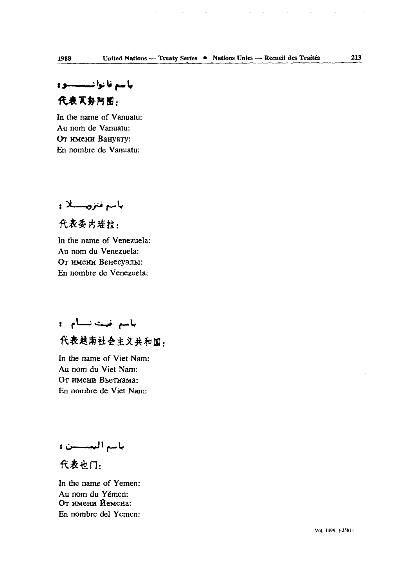$\sim 10^{-1}$ 

# باسع نا نواشستنسیو و 代表页势阿丽.

In the name of Vanuatu: Au nom de Vanuatu: От имени Вануату: En nombre de Vanuatu:

**باسم فتروسســلا :** 

代表委内瑞拉. In the name of Venezuela: Au nom du Venezuela: От имени Венесуэлы: En nombre de Venezuela:

باسم ضت نسام : 代表越南社会主义共和国.

In the name of Viet Nam: Au nom du Viet Nam: OT HMCHH BheTHaMa: En nombre de Viet Nam:

باسم البمسسن:

代表也门:

In the name of Yemen: Au nom du Yemen: От имени Йемена: En nombre del Yemen: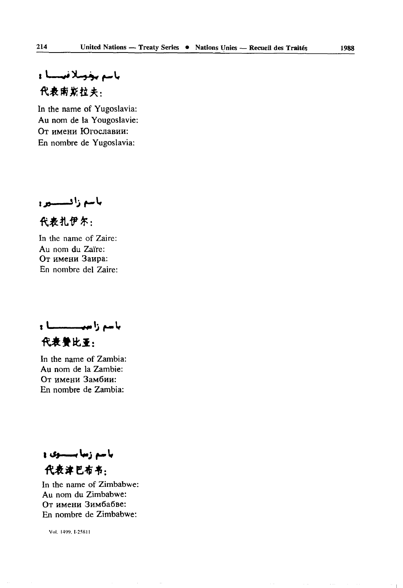باسم بخوسلا فيسسا : 代表南斯拉夫.

In the name of Yugoslavia: Au nom de la Yougoslavie: От имени Югославии: En nombre de Yugoslavia:

باسع زافستسين

代表扎伊尔:

In the name of Zaire: Au nom du Zaïre: От имени Заира: En nombre del Zaire:

بأسع زاميا السلطاء 代表赞比亚:

In the name of Zambia: Au nom de la Zambie: От имени Замбии: En nombre de Zambia:

باسم زمایسستوی و 代表津巴布韦:

In the name of Zimbabwe: Au nom du Zimbabwe: От имени Зимбабве: En nombre de Zimbabwe:

Vol. 1499. 1-258 11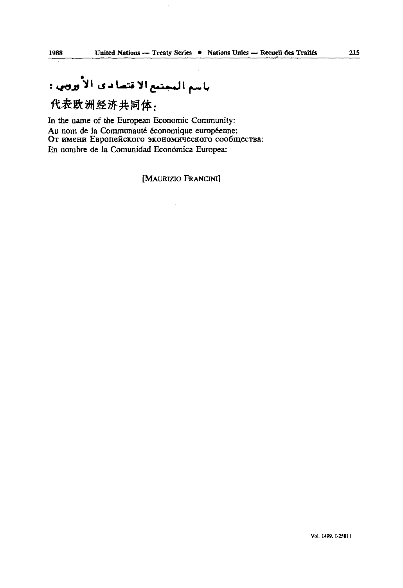代表欧洲经济共同体:

In the name of the European Economic Community: Au nom de la Communauté économique européenne: От имени Европейского экономического сообщества: En nombre de la Comunidad Econômica Europea:

[MAURIZIO FRANCINI]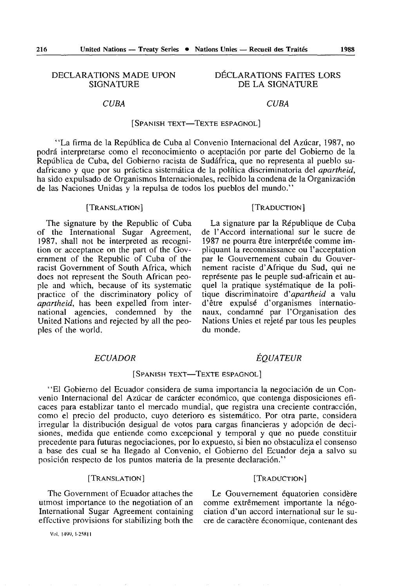DECLARATIONS MADE UPON DÉCLARATIONS FAITES LORS<br>SIGNATURE DE LA SIGNATURE DE LA SIGNATURE

#### *CUBA CUBA*

pliquant la reconnaissance ou l'acceptation<br>par le Gouvernement cubain du Gouver-

raciste d'Afrique du Sud, qui nement raciste d'Afrique du Sud, qui nement raciste d'Africa in et au-

Nations Unies et rejeté par tous les peuples<br>du monde

#### [SPANISH TEXT—TEXTE ESPAGNOL]

"La firma de la Reptlblica de Cuba al Convenio Internacional del Aziicar, 1987, no podrâ interpretarse como el reconocimiento o aceptaciôn por parte del Gobierno de la República de Cuba, del Gobierno racista de Sudáfrica, que no representa al pueblo sudafricano y que por su prâctica sistemâtica de la polftica discriminatoria del *apartheid,*  ha sido expulsado de Organismes Internacionales, recibido la condena de la Organizaciôn de las Naciones Unidas y la repuisa de todos los pueblos del mundo."

#### [TRANSLATION] [TRADUCTION]

The signature by the Republic of Cuba La signature par la République de Cuba the International Sugar Agreement, de l'Accord international sur le sucre de of the International Sugar Agreement, de l'Accord international sur le sucre de 1987, shall not be interpreted as recognition or acceptance on the part of the Government of the Republic of Cuba of the racist Government of South Africa, which does not represent the South African peo- représente pas le peuple sud-africain et au-<br>ple and which, because of its systematic quel la pratique systématique de la poliple and which, because of its systematic quel la pratique systematique de la poli-<br>practice of the discriminatory policy of tique discriminatoire d'apartheid a valu practice of the discriminatory policy of tique discriminatoire *d'apartheid* a valu *apartheid*, has been expelled from international agencies, condemned by the naux, condamné par l'Organisation des<br>United Nations and rejected by all the peo- Nations Unies et rejeté par tous les peuples ples of the world.

#### *ECUADOR EQUATEUR*

#### [SPANISH TEXT—TEXTE ESPAGNOL]

"El Gobierno del Ecuador considéra de suma importancia la negociaciôn de un Con venio Internacional del Azûcar de carâcter economico, que contenga disposiciones eficaces para establizar tanto el mercado mundial, que registra una creciente contraccion, como el precio del producto, cuyo deterioro es sistemâtico. Por otra parte, considéra irregular la distribuciôn desigual de votos para cargas financieras y adopcion de decisiones, medida que entiende como excepcional y temporal y que no puede constituir précédente para futuras negociaciones, por lo expuesto, si bien no obstaculiza el consenso a base des cual se ha llegado al Convenio, el Gobierno del Ecuador déjà a salvo su posición respecto de los puntos materia de la presente declaración."

#### [TRANSLATION] [TRADUCTION]

The Government of Ecuador attaches the Le Gouvernement équatorien considère utmost importance to the negotiation of an comme extrêmement importante la négo-International Sugar Agreement containing ciation d'un accord international sur le su-

Vol. 1499, 1-25811

effective provisions for stabilizing both the ere de caractère économique, contenant des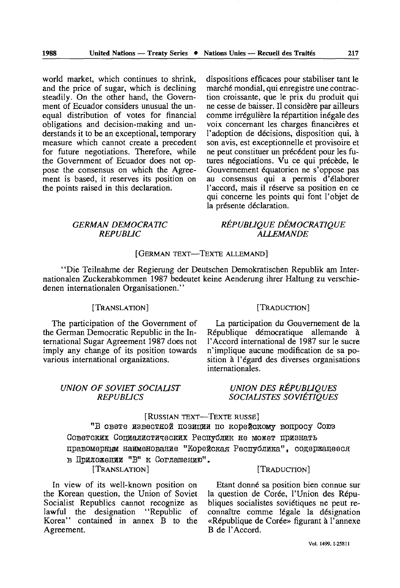world market, which continues to shrink, and the price of sugar, which is declining steadily. On the other hand, the Govern ment of Ecuador considers unusual the un equal distribution of votes for financial obligations and decision-making and un derstands it to be an exceptional, temporary measure which cannot create a precedent for future negotiations. Therefore, while the Government of Ecuador does not op pose the consensus on which the Agree ment is based, it reserves its position on the points raised in this declaration.

dispositions efficaces pour stabiliser tant le marché mondial, qui enregistre une contrac tion croissante, que le prix du produit qui ne cesse de baisser. Il considère par ailleurs comme irrégulière la répartition inégale des voix concernant les charges financières et l'adoption de décisions, disposition qui, à son avis, est exceptionnelle et provisoire et ne peut constituer un précédent pour les fu tures négociations. Vu ce qui précède, le Gouvernement équatorien ne s'oppose pas au consensus qui a permis d'élaborer l'accord, mais il réserve sa position en ce qui concerne les points qui font l'objet de la présente déclaration.

#### *GERMAN DEMOCRATIC REPUBLIC*

### *RÉPUBLIQUE DÉMOCRATIQUE ALLEMANDE*

#### [GERMAN TEXT—TEXTE ALLEMAND]

"Die Teilnahme der Regierung der Deutschen Demokratischen Republik am Internationalen Zuckerabkommen 1987 bedeutet keine Aenderung ihrer Haltung zu verschiedenen internationalen Organisationen."

#### [TRANSLATION]

The participation of the Government of the German Democratic Republic in the In ternational Sugar Agreement 1987 does not imply any change of its position towards various international organizations.

#### *UNION OF SOVIET SOCIALIST REPUBLICS*

#### [TRADUCTION]

La participation du Gouvernement de la République démocratique allemande à l'Accord international de 1987 sur le sucre n'implique aucune modification de sa po sition à l'égard des diverses organisations internationales.

#### *UNION DES RÉPUBLIQUES SOCIALISTES SOVIÉTIQUES*

### [RUSSIAN TEXT—TEXTE RUSSE]

"В свете известной позиции по корейскому вопросу Союз Советских Социалистических Республик не может признать правомерным наименование "Корейская Республика", содержащееся в Приложении "В" к Соглашению". [TRANSLATION] [TRADUCTION]

In view of its well-known position on the Korean question, the Union of Soviet Socialist Republics cannot recognize as lawful the designation "Republic of Korea" contained in annex B to the Agreement.

Etant donné sa position bien connue sur la question de Corée, l'Union des Répu bliques socialistes soviétiques ne peut re connaître comme légale la désignation «République de Corée» figurant à l'annexe B de l'Accord.